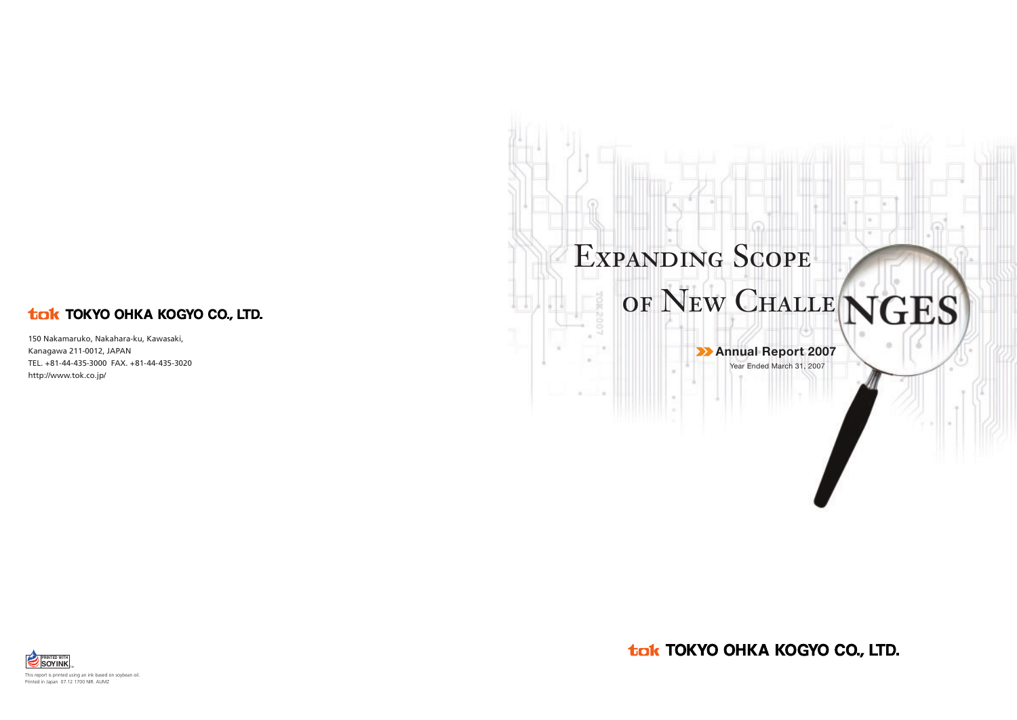# Expanding Scope

# of New Challe ${\rm GES}$

## **Annual Report 2007**

Year Ended March 31, 2007

tak TOKYO OHKA KOGYO CO., LTD.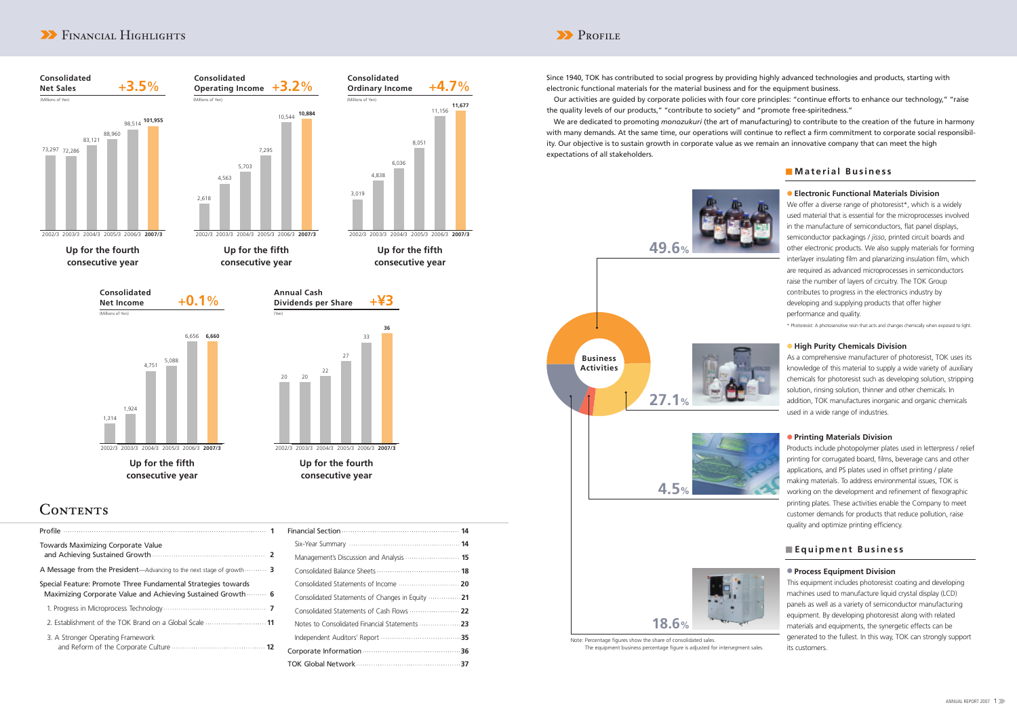| Management's Discussion and Analysis  15         |
|--------------------------------------------------|
|                                                  |
|                                                  |
| Consolidated Statements of Changes in Equity  21 |
|                                                  |
|                                                  |
|                                                  |
|                                                  |
|                                                  |

| Towards Maximizing Corporate Value                                                                                                    |  |
|---------------------------------------------------------------------------------------------------------------------------------------|--|
| A Message from the President—Advancing to the next stage of growth $\cdots$                                                           |  |
| Special Feature: Promote Three Fundamental Strategies towards<br>Maximizing Corporate Value and Achieving Sustained Growth $\cdots$ 6 |  |
|                                                                                                                                       |  |
|                                                                                                                                       |  |
| 3. A Stronger Operating Framework                                                                                                     |  |

Since 1940, TOK has contributed to social progress by providing highly advanced technologies and products, starting with electronic functional materials for the material business and for the equipment business. Our activities are guided by corporate policies with four core principles: "continue efforts to enhance our technology," "raise the quality levels of our products," "contribute to society" and "promote free-spiritedness." We are dedicated to promoting *monozukuri* (the art of manufacturing) to contribute to the creation of the future in harmony with many demands. At the same time, our operations will continue to reflect a firm commitment to corporate social responsibility. Our objective is to sustain growth in corporate value as we remain an innovative company that can meet the high expectations of all stakeholders.

> We offer a diverse range of photoresist\*, which is a widely used material that is essential for the microprocesses involved in the manufacture of semiconductors, flat panel displays, semiconductor packagings / *jisso*, printed circuit boards and other electronic products. We also supply materials for forming interlayer insulating film and planarizing insulation film, which are required as advanced microprocesses in semiconductors raise the number of layers of circuitry. The TOK Group contributes to progress in the electronics industry by developing and supplying products that offer higher performance and quality.

#### ● **Process Equipment Division**

This equipment includes photoresist coating and developing machines used to manufacture liquid crystal display (LCD) panels as well as a variety of semiconductor manufacturing equipment. By developing photoresist along with related materials and equipments, the synergetic effects can be generated to the fullest. In this way, TOK can strongly support its customers.

### ■ **Material Business**

### ■ **Equipment Business**

## **EXPENDING AND ACCEPTS** PROFILE



### ● **Electronic Functional Materials Division**

\* Photoresist: A photosensitive resin that acts and changes chemically when exposed to light.



As a comprehensive manufacturer of photoresist, TOK uses its knowledge of this material to supply a wide variety of auxiliary chemicals for photoresist such as developing solution, stripping solution, rinsing solution, thinner and other chemicals. In addition, TOK manufactures inorganic and organic chemicals used in a wide range of industries.

#### ● **Printing Materials Division**

Products include photopolymer plates used in letterpress / relief printing for corrugated board, films, beverage cans and other applications, and PS plates used in offset printing / plate making materials. To address environmental issues, TOK is working on the development and refinement of flexographic printing plates. These activities enable the Company to meet customer demands for products that reduce pollution, raise quality and optimize printing efficiency.



### The equipment business percentage figure is adjusted for intersegment sales.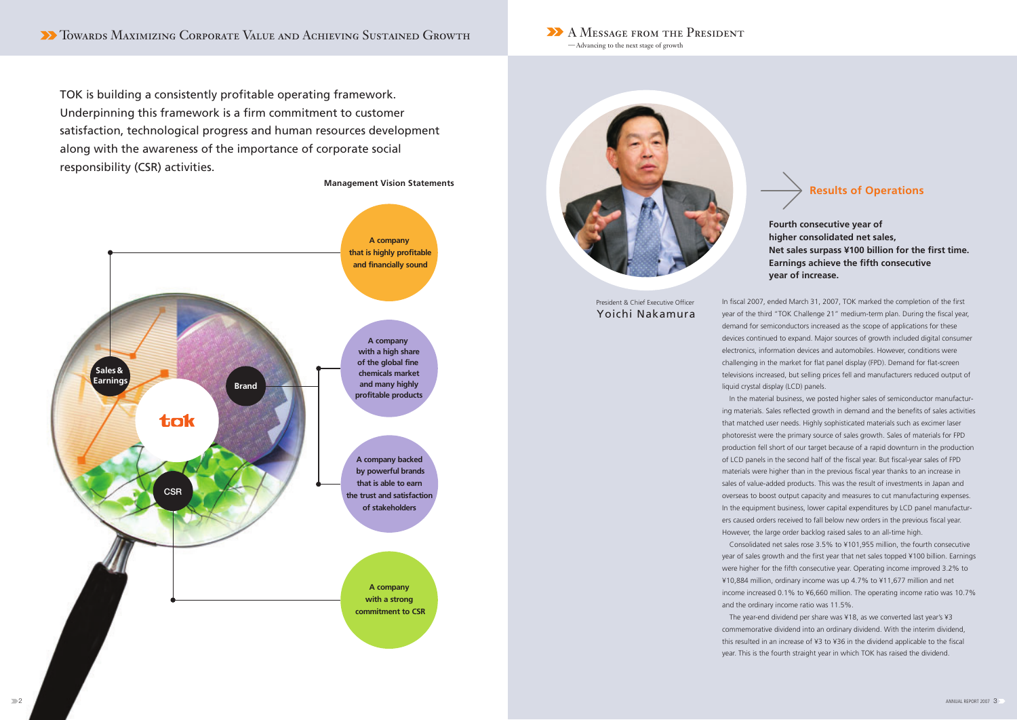### **Fourth consecutive year of higher consolidated net sales, Net sales surpass ¥100 billion for the first time. Earnings achieve the fifth consecutive year of increase.**

In fiscal 2007, ended March 31, 2007, TOK marked the completion of the first year of the third "TOK Challenge 21" medium-term plan. During the fiscal year, demand for semiconductors increased as the scope of applications for these devices continued to expand. Major sources of growth included digital consumer electronics, information devices and automobiles. However, conditions were challenging in the market for flat panel display (FPD). Demand for flat-screen televisions increased, but selling prices fell and manufacturers reduced output of liquid crystal display (LCD) panels.

In the material business, we posted higher sales of semiconductor manufacturing materials. Sales reflected growth in demand and the benefits of sales activities that matched user needs. Highly sophisticated materials such as excimer laser photoresist were the primary source of sales growth. Sales of materials for FPD production fell short of our target because of a rapid downturn in the production of LCD panels in the second half of the fiscal year. But fiscal-year sales of FPD materials were higher than in the previous fiscal year thanks to an increase in sales of value-added products. This was the result of investments in Japan and overseas to boost output capacity and measures to cut manufacturing expenses. In the equipment business, lower capital expenditures by LCD panel manufacturers caused orders received to fall below new orders in the previous fiscal year. However, the large order backlog raised sales to an all-time high.

Consolidated net sales rose 3.5% to ¥101,955 million, the fourth consecutive year of sales growth and the first year that net sales topped ¥100 billion. Earnings were higher for the fifth consecutive year. Operating income improved 3.2% to ¥10,884 million, ordinary income was up 4.7% to ¥11,677 million and net income increased 0.1% to ¥6,660 million. The operating income ratio was 10.7% and the ordinary income ratio was 11.5%.

The year-end dividend per share was ¥18, as we converted last year's ¥3 commemorative dividend into an ordinary dividend. With the interim dividend, this resulted in an increase of ¥3 to ¥36 in the dividend applicable to the fiscal year. This is the fourth straight year in which TOK has raised the dividend.



#### **Management Vision Statements**

TOK is building a consistently profitable operating framework. Underpinning this framework is a firm commitment to customer satisfaction, technological progress and human resources development along with the awareness of the importance of corporate social responsibility (CSR) activities.



-Advancing to the next stage of growth



President & Chief Executive Officer Yoichi Nakamura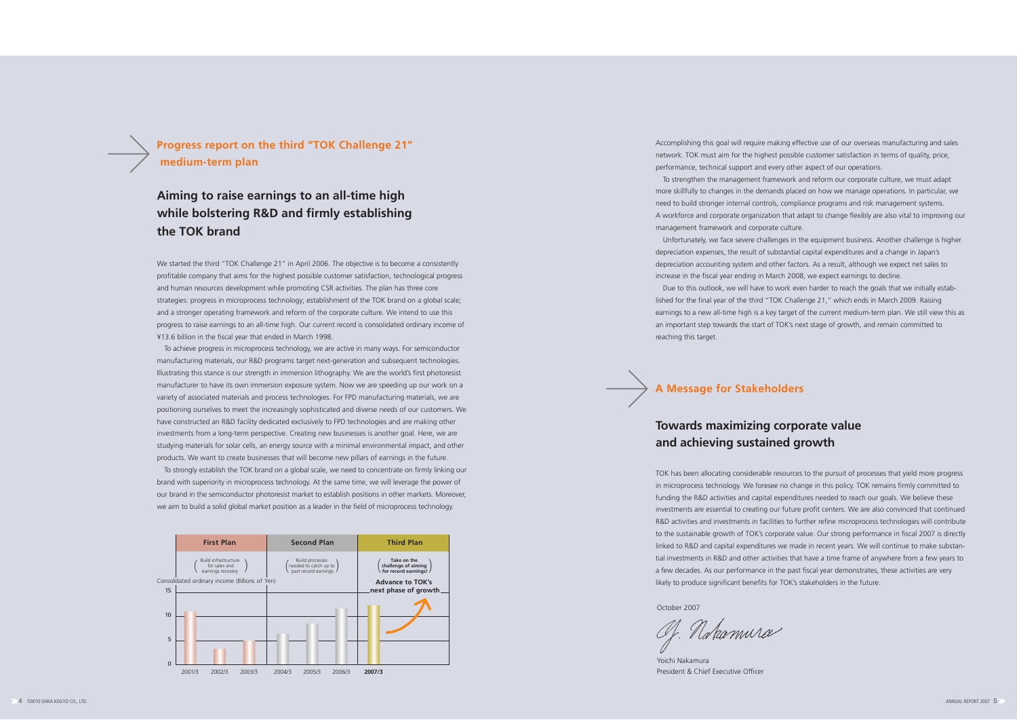**A Message for Stakeholders**

## **Aiming to raise earnings to an all-time high while bolstering R&D and firmly establishing the TOK brand**

## **Towards maximizing corporate value and achieving sustained growth**

We started the third "TOK Challenge 21" in April 2006. The objective is to become a consistently profitable company that aims for the highest possible customer satisfaction, technological progress and human resources development while promoting CSR activities. The plan has three core strategies: progress in microprocess technology; establishment of the TOK brand on a global scale; and a stronger operating framework and reform of the corporate culture. We intend to use this progress to raise earnings to an all-time high. Our current record is consolidated ordinary income of ¥13.6 billion in the fiscal year that ended in March 1998.

To achieve progress in microprocess technology, we are active in many ways. For semiconductor manufacturing materials, our R&D programs target next-generation and subsequent technologies. Illustrating this stance is our strength in immersion lithography. We are the world's first photoresist manufacturer to have its own immersion exposure system. Now we are speeding up our work on a variety of associated materials and process technologies. For FPD manufacturing materials, we are positioning ourselves to meet the increasingly sophisticated and diverse needs of our customers. We have constructed an R&D facility dedicated exclusively to FPD technologies and are making other investments from a long-term perspective. Creating new businesses is another goal. Here, we are studying materials for solar cells, an energy source with a minimal environmental impact, and other products. We want to create businesses that will become new pillars of earnings in the future.

To strongly establish the TOK brand on a global scale, we need to concentrate on firmly linking our brand with superiority in microprocess technology. At the same time, we will leverage the power of our brand in the semiconductor photoresist market to establish positions in other markets. Moreover, we aim to build a solid global market position as a leader in the field of microprocess technology.

TOK has been allocating considerable resources to the pursuit of processes that yield more progress in microprocess technology. We foresee no change in this policy. TOK remains firmly committed to funding the R&D activities and capital expenditures needed to reach our goals. We believe these investments are essential to creating our future profit centers. We are also convinced that continued R&D activities and investments in facilities to further refine microprocess technologies will contribute to the sustainable growth of TOK's corporate value. Our strong performance in fiscal 2007 is directly linked to R&D and capital expenditures we made in recent years. We will continue to make substantial investments in R&D and other activities that have a time frame of anywhere from a few years to a few decades. As our performance in the past fiscal year demonstrates, these activities are very likely to produce significant benefits for TOK's stakeholders in the future.

October 2007

ahamura

Yoichi Nakamura

**Progress report on the third "TOK Challenge 21" medium-term plan**

Accomplishing this goal will require making effective use of our overseas manufacturing and sales network. TOK must aim for the highest possible customer satisfaction in terms of quality, price, performance, technical support and every other aspect of our operations.

To strengthen the management framework and reform our corporate culture, we must adapt more skillfully to changes in the demands placed on how we manage operations. In particular, we need to build stronger internal controls, compliance programs and risk management systems. A workforce and corporate organization that adapt to change flexibly are also vital to improving our



management framework and corporate culture.

Unfortunately, we face severe challenges in the equipment business. Another challenge is higher depreciation expenses, the result of substantial capital expenditures and a change in Japan's depreciation accounting system and other factors. As a result, although we expect net sales to increase in the fiscal year ending in March 2008, we expect earnings to decline.

Due to this outlook, we will have to work even harder to reach the goals that we initially established for the final year of the third "TOK Challenge 21," which ends in March 2009. Raising earnings to a new all-time high is a key target of the current medium-term plan. We still view this as an important step towards the start of TOK's next stage of growth, and remain committed to

reaching this target.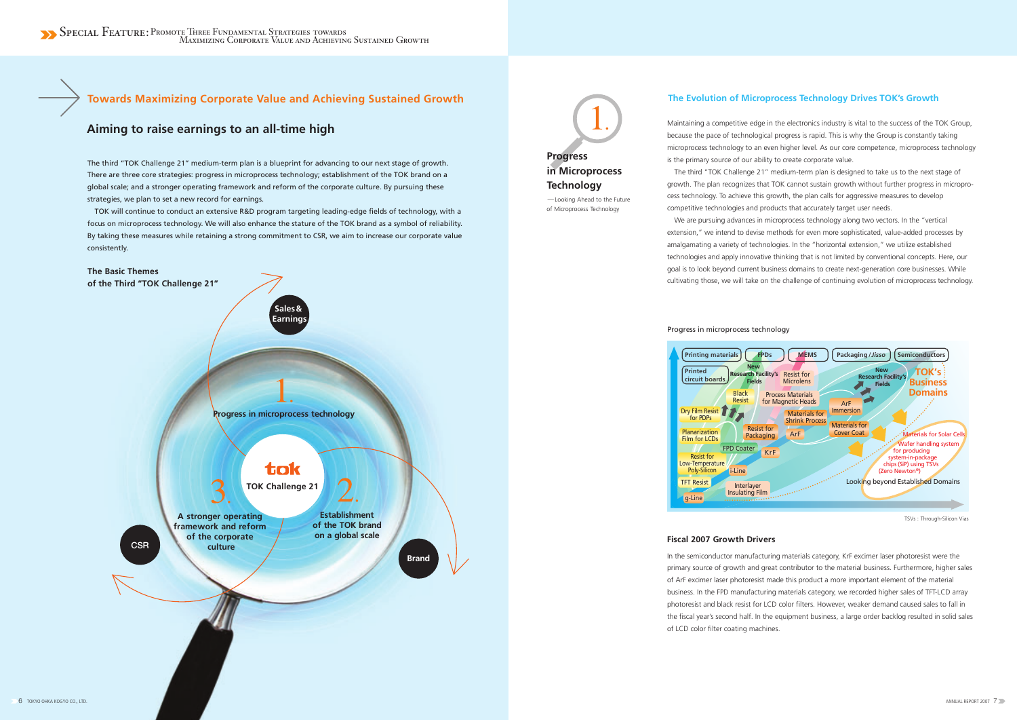## **Towards Maximizing Corporate Value and Achieving Sustained Growth**

# **Progress in Microprocess Technology** -Looking Ahead to the Future

of Microprocess Technology

### **Aiming to raise earnings to an all-time high**

### **The Evolution of Microprocess Technology Drives TOK's Growth**

The third "TOK Challenge 21" medium-term plan is a blueprint for advancing to our next stage of growth. There are three core strategies: progress in microprocess technology; establishment of the TOK brand on a global scale; and a stronger operating framework and reform of the corporate culture. By pursuing these strategies, we plan to set a new record for earnings.

TOK will continue to conduct an extensive R&D program targeting leading-edge fields of technology, with a focus on microprocess technology. We will also enhance the stature of the TOK brand as a symbol of reliability. By taking these measures while retaining a strong commitment to CSR, we aim to increase our corporate value consistently.

We are pursuing advances in microprocess technology along two vectors. In the "vertical extension," we intend to devise methods for even more sophisticated, value-added processes by amalgamating a variety of technologies. In the "horizontal extension," we utilize established technologies and apply innovative thinking that is not limited by conventional concepts. Here, our goal is to look beyond current business domains to create next-generation core businesses. While cultivating those, we will take on the challenge of continuing evolution of microprocess technology.

Maintaining a competitive edge in the electronics industry is vital to the success of the TOK Group, because the pace of technological progress is rapid. This is why the Group is constantly taking microprocess technology to an even higher level. As our core competence, microprocess technology is the primary source of our ability to create corporate value.

The third "TOK Challenge 21" medium-term plan is designed to take us to the next stage of growth. The plan recognizes that TOK cannot sustain growth without further progress in microprocess technology. To achieve this growth, the plan calls for aggressive measures to develop competitive technologies and products that accurately target user needs.



In the semiconductor manufacturing materials category, KrF excimer laser photoresist were the primary source of growth and great contributor to the material business. Furthermore, higher sales of ArF excimer laser photoresist made this product a more important element of the material business. In the FPD manufacturing materials category, we recorded higher sales of TFT-LCD array photoresist and black resist for LCD color filters. However, weaker demand caused sales to fall in the fiscal year's second half. In the equipment business, a large order backlog resulted in solid sales of LCD color filter coating machines.

Progress in microprocess technology

TSVs : Through-Silicon Vias

#### **Fiscal 2007 Growth Drivers**

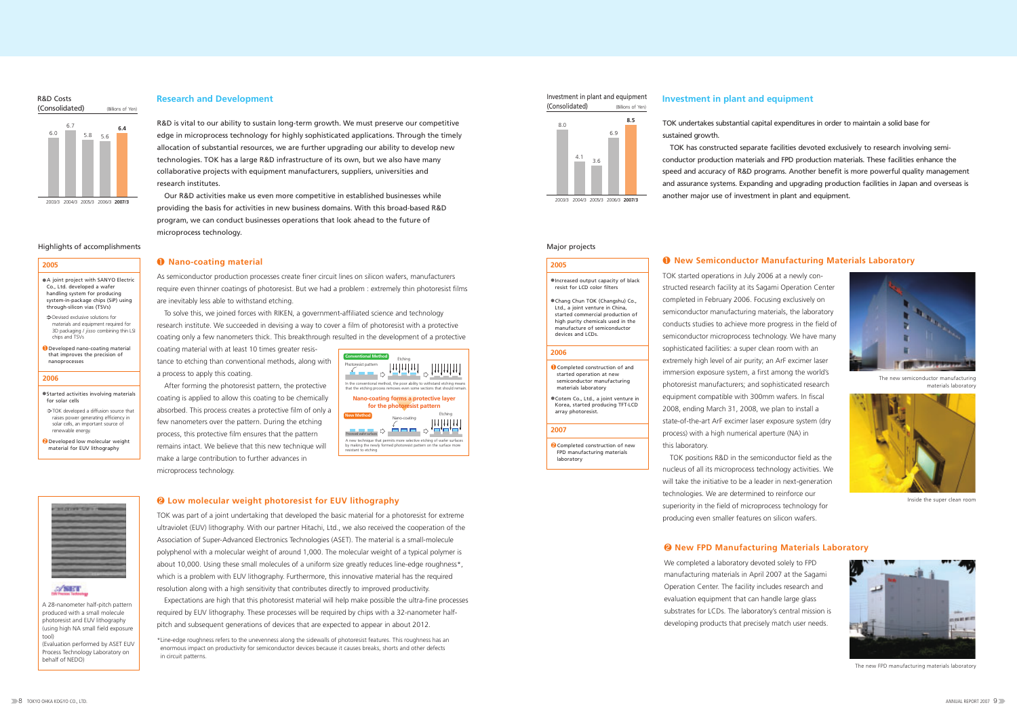R&D is vital to our ability to sustain long-term growth. We must preserve our competitive edge in microprocess technology for highly sophisticated applications. Through the timely allocation of substantial resources, we are further upgrading our ability to develop new technologies. TOK has a large R&D infrastructure of its own, but we also have many collaborative projects with equipment manufacturers, suppliers, universities and research institutes.

TOK undertakes substantial capital expenditures in order to maintain a solid base for sustained growth.

Our R&D activities make us even more competitive in established businesses while 2003/3 2004/3 2005/3 2006/3 **2007/3** 2003/3 2004/3 2005/3 2006/3 **2007/3** providing the basis for activities in new business domains. With this broad-based R&D program, we can conduct businesses operations that look ahead to the future of microprocess technology.

#### **Research and Development**

TOK has constructed separate facilities devoted exclusively to research involving semiconductor production materials and FPD production materials. These facilities enhance the speed and accuracy of R&D programs. Another benefit is more powerful quality management and assurance systems. Expanding and upgrading production facilities in Japan and overseas is another major use of investment in plant and equipment.

- $\Rightarrow$  Devised exclusive solutions for materials and equipment required for 3D packaging / *jisso* combining thin LSI chips and TSVs
- ❶Developed nano-coating material that improves the precision of nanoprocesses

- Started activities involving materials for solar cells TOK developed a diffusion source that
- raises power generating efficiency in solar cells, an important source of renewable energy.
- **2** Developed low molecular weight material for EUV lithography

### A/SET

●Increased output capacity of black resist for LCD color filter

TOK started operations in July 2006 at a newly constructed research facility at its Sagami Operation Center completed in February 2006. Focusing exclusively on semiconductor manufacturing materials, the laboratory conducts studies to achieve more progress in the field of semiconductor microprocess technology. We have many sophisticated facilities: a super clean room with an extremely high level of air purity; an ArF excimer laser immersion exposure system, a first among the world's photoresist manufacturers; and sophisticated research equipment compatible with 300mm wafers. In fiscal 2008, ending March 31, 2008, we plan to install a state-of-the-art ArF excimer laser exposure system (dry process) with a high numerical aperture (NA) in this laboratory.

●Cotem Co., Ltd., a joint venture in Korea, started producing TFT-LCD array photoresist.

**2** Completed construction of new FPD manufacturing materials laboratory

#### Investment in plant and equipment (Consolidated)

TOK positions R&D in the semiconductor field as the nucleus of all its microprocess technology activities. We will take the initiative to be a leader in next-generation technologies. We are determined to reinforce our superiority in the field of microprocess technology for producing even smaller features on silicon wafers.

#### ❶ **New Semiconductor Manufacturing Materials Laboratory**

#### Highlights of accomplishments

| ● A joint project with SANYO Electric |
|---------------------------------------|
| Co., Ltd. developed a wafer           |
| handling system for producing         |
| system-in-package chips (SiP) using   |
| through-silicon vias (TSVs)           |
|                                       |

#### (Consolidated) (Billions of Yen)



Inside the super clean room



The new FPD manufacturing materials laboratory



The new semiconductor manufacturing materials laboratory



## Research and Development and the state of the state of the state of the state of the state of the state of the state of the state of the state of the state of the state of the state of the state of the state of the state o



#### **2005**

#### **2006**

#### Major projects

●Chang Chun TOK (Changshu) Co., Ltd., a joint venture in China, started commercial production of high purity chemicals used in the manufacture of semiconductor devices and LCDs.

❶Completed construction of and started operation at new semiconductor manufacturing materials laboratory

### **2005**

#### **2006**

#### **2007**

We completed a laboratory devoted solely to FPD manufacturing materials in April 2007 at the Sagami Operation Center. The facility includes research and evaluation equipment that can handle large glass substrates for LCDs. The laboratory's central mission is developing products that precisely match user needs.

### ❷ **New FPD Manufacturing Materials Laboratory**

As semiconductor production processes create finer circuit lines on silicon wafers, manufacturers require even thinner coatings of photoresist. But we had a problem : extremely thin photoresist films are inevitably less able to withstand etching.

To solve this, we joined forces with RIKEN, a government-affiliated science and technology research institute. We succeeded in devising a way to cover a film of photoresist with a protective coating only a few nanometers thick. This breakthrough resulted in the development of a protective

coating material with at least 10 times greater resistance to etching than conventional methods, along with a process to apply this coating.

After forming the photoresist pattern, the protective coating is applied to allow this coating to be chemically absorbed. This process creates a protective film of only a few nanometers over the pattern. During the etching process, this protective film ensures that the pattern remains intact. We believe that this new technique will make a large contribution to further advances in microprocess technology.

#### ❶ **Nano-coating material**

TOK was part of a joint undertaking that developed the basic material for a photoresist for extreme ultraviolet (EUV) lithography. With our partner Hitachi, Ltd., we also received the cooperation of the Association of Super-Advanced Electronics Technologies (ASET). The material is a small-molecule polyphenol with a molecular weight of around 1,000. The molecular weight of a typical polymer is about 10,000. Using these small molecules of a uniform size greatly reduces line-edge roughness\*, which is a problem with EUV lithography. Furthermore, this innovative material has the required resolution along with a high sensitivity that contributes directly to improved productivity.

Expectations are high that this photoresist material will help make possible the ultra-fine processes required by EUV lithography. These processes will be required by chips with a 32-nanometer halfpitch and subsequent generations of devices that are expected to appear in about 2012.

\*Line-edge roughness refers to the unevenness along the sidewalls of photoresist features. This roughness has an enormous impact on productivity for semiconductor devices because it causes breaks, shorts and other defects in circuit patterns.

#### ❷ **Low molecular weight photoresist for EUV lithography**

A 28-nanometer half-pitch pattern produced with a small molecule photoresist and EUV lithography (using high NA small field exposure tool) (Evaluation performed by ASET EUV Process Technology Laboratory on behalf of NEDO)

| <b>Conventional Method</b><br>Photoresist pattern                                          | Etching                     | In the conventional method, the poor ability to withstand etching means |
|--------------------------------------------------------------------------------------------|-----------------------------|-------------------------------------------------------------------------|
|                                                                                            |                             | that the etching process removes even some sections that should remain. |
|                                                                                            | for the photoresist pattern | Nano-coating forms a protective layer                                   |
| <b>New Method</b><br>Processed wafer surfaces                                              | Nano-coating                | Etching                                                                 |
| by making the newly formed photoresist pattern on the surface more<br>resistant to etching |                             | A new technique that permits more selective etching of wafer surfaces   |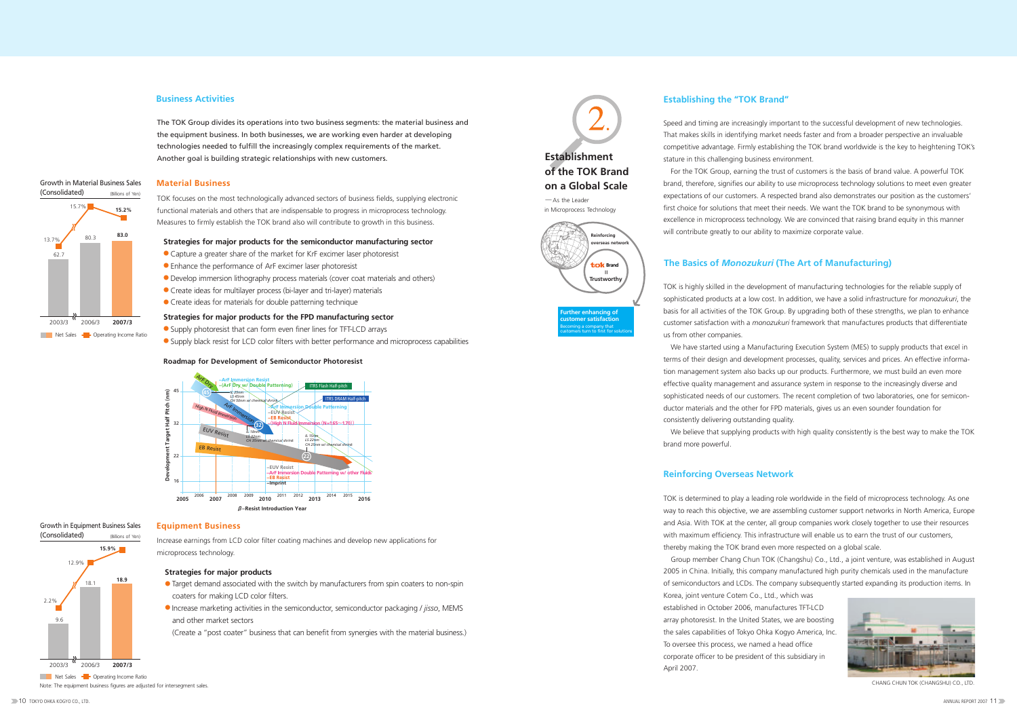The TOK Group divides its operations into two business segments: the material business and the equipment business. In both businesses, we are working even harder at developing technologies needed to fulfill the increasingly complex requirements of the market. Another goal is building strategic relationships with new customers.

#### **Establishing the "TOK Brand"**

### **The Basics of** *Monozukuri* **(The Art of Manufacturing)**

#### **Business Activities**

TOK focuses on the most technologically advanced sectors of business fields, supplying electronic functional materials and others that are indispensable to progress in microprocess technology. Measures to firmly establish the TOK brand also will contribute to growth in this business.

Speed and timing are increasingly important to the successful development of new technologies. That makes skills in identifying market needs faster and from a broader perspective an invaluable competitive advantage. Firmly establishing the TOK brand worldwide is the key to heightening TOK's stature in this challenging business environment.

For the TOK Group, earning the trust of customers is the basis of brand value. A powerful TOK brand, therefore, signifies our ability to use microprocess technology solutions to meet even greater expectations of our customers. A respected brand also demonstrates our position as the customers' first choice for solutions that meet their needs. We want the TOK brand to be synonymous with excellence in microprocess technology. We are convinced that raising brand equity in this manner will contribute greatly to our ability to maximize corporate value.

TOK is highly skilled in the development of manufacturing technologies for the reliable supply of sophisticated products at a low cost. In addition, we have a solid infrastructure for *monozukuri*, the basis for all activities of the TOK Group. By upgrading both of these strengths, we plan to enhance customer satisfaction with a *monozukuri* framework that manufactures products that differentiate us from other companies.

We have started using a Manufacturing Execution System (MES) to supply products that excel in terms of their design and development processes, quality, services and prices. An effective information management system also backs up our products. Furthermore, we must build an even more effective quality management and assurance system in response to the increasingly diverse and sophisticated needs of our customers. The recent completion of two laboratories, one for semiconductor materials and the other for FPD materials, gives us an even sounder foundation for consistently delivering outstanding quality.

- Capture a greater share of the market for KrF excimer laser photoresist
- Enhance the performance of ArF excimer laser photoresist
- Develop immersion lithography process materials (cover coat materials and others)
- Create ideas for multilayer process (bi-layer and tri-layer) materials
- Create ideas for materials for double patterning technique

ncina of **customer satisfaction** Becoming a company that customers turn to first for solutions

We believe that supplying products with high quality consistently is the best way to make the TOK

 $-$ As the Leader in Microprocess Technology

brand more powerful.

### **Reinforcing Overseas Network**

TOK is determined to play a leading role worldwide in the field of microprocess technology. As one way to reach this objective, we are assembling customer support networks in North America, Europe and Asia. With TOK at the center, all group companies work closely together to use their resources with maximum efficiency. This infrastructure will enable us to earn the trust of our customers, thereby making the TOK brand even more respected on a global scale.

Group member Chang Chun TOK (Changshu) Co., Ltd., a joint venture, was established in August 2005 in China. Initially, this company manufactured high purity chemicals used in the manufacture of semiconductors and LCDs. The company subsequently started expanding its production items. In Korea, joint venture Cotem Co., Ltd., which was established in October 2006, manufactures TFT-LCD array photoresist. In the United States, we are boosting the sales capabilities of Tokyo Ohka Kogyo America, Inc. To oversee this process, we named a head office corporate officer to be president of this subsidiary in April 2007.

Increase earnings from LCD color filter coating machines and develop new applications for microprocess technology.

#### **Strategies for major products**

- Target demand associated with the switch by manufacturers from spin coaters to non-spin coaters for making LCD color filters.
- Increase marketing activities in the semiconductor, semiconductor packaging / *jisso*, MEMS and other market sectors

(Create a "post coater" business that can benefit from synergies with the material business.)

#### **Strategies for major products for the semiconductor manufacturing sector**

#### **Material Business** Growth in Material Business Sales

#### **Strategies for major products for the FPD manufacturing sector**

- Supply photoresist that can form even finer lines for TFT-LCD arrays
- Supply black resist for LCD color filters with better performance and microprocess capabilities



CHANG CHUN TOK (CHANGSHU) CO., LTD.

2003/3 2006/3 **2007/3**

Net Sales - Operating Income Ratio

2.2%

12.9%

**15.9%**

9.6

18.1 **18.9**



#### **Equipment Business** Growth in Equipment Business Sales (Billions of Yen)

## **Establishment of the TOK Brand on a Global Scale**

(Consolidated)

#### **Roadmap for Development of Semiconductor Photoresist**





Note: The equipment business figures are adjusted for intersegment sales.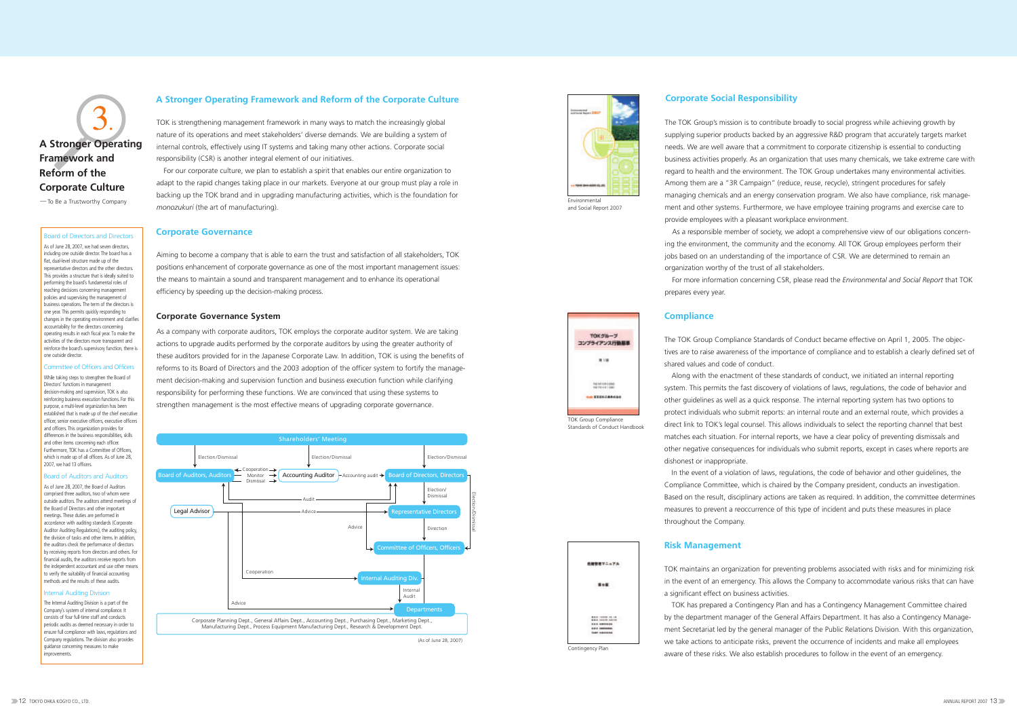#### **A Stronger Operating Framework and Reform of the Corporate Culture**

TOK is strengthening management framework in many ways to match the increasingly global nature of its operations and meet stakeholders' diverse demands. We are building a system of internal controls, effectively using IT systems and taking many other actions. Corporate social responsibility (CSR) is another integral element of our initiatives.

For our corporate culture, we plan to establish a spirit that enables our entire organization to adapt to the rapid changes taking place in our markets. Everyone at our group must play a role in backing up the TOK brand and in upgrading manufacturing activities, which is the foundation for *monozukuri* (the art of manufacturing).

#### **Corporate Governance**

Aiming to become a company that is able to earn the trust and satisfaction of all stakeholders, TOK positions enhancement of corporate governance as one of the most important management issues: the means to maintain a sound and transparent management and to enhance its operational efficiency by speeding up the decision-making process.

#### **Corporate Governance System**

While taking steps to strengthen the Board of Directors' functions in management decision-making and supervision, TOK is also reinforcing business execution functions. For this purpose, a multi-level organization has been established that is made up of the chief executive officer, senior executive officers, executive officers and officers. This organization provides for differences in the business responsibilities, skills and other items concerning each officer. Furthermore, TOK has a Committee of Officers, which is made un of all officers. As of June 28, 2007, we had 13 officers.

As a company with corporate auditors, TOK employs the corporate auditor system. We are taking actions to upgrade audits performed by the corporate auditors by using the greater authority of these auditors provided for in the Japanese Corporate Law. In addition, TOK is using the benefits of reforms to its Board of Directors and the 2003 adoption of the officer system to fortify the management decision-making and supervision function and business execution function while clarifying responsibility for performing these functions. We are convinced that using these systems to strengthen management is the most effective means of upgrading corporate governance.

#### Board of Directors and Directors

As of June 28, 2007, we had seven directors, including one outside director. The board has a flat, dual-level structure made up of the representative directors and the other directors. This provides a structure that is ideally suited to performing the board's fundamental roles of reaching decisions concerning management policies and supervising the management of business operations. The term of the directors is one year. This permits quickly responding to changes in the operating environment and clarifies accountability for the directors concerning operating results in each fiscal year. To make the activities of the directors more transparent and reinforce the board's supervisory function, there is one outside director.

#### Committee of Officers and Officers

#### Board of Auditors and Auditors

As of June 28, 2007, the Board of Auditors comprised three auditors, two of whom were outside auditors. The auditors attend meetings of the Board of Directors and other important meetings. These duties are performed in accordance with auditing standards (Corporate Auditor Auditing Regulations), the auditing policy, the division of tasks and other items. In addition, the auditors check the performance of directors by receiving reports from directors and others. For financial audits, the auditors receive reports from the independent accountant and use other means to verify the suitability of financial accounting methods and the results of these audits.

#### Internal Auditing Division

The Internal Auditing Division is a part of the Company's system of internal compliance. It consists of four full-time staff and conducts periodic audits as deemed necessary in order to ensure full compliance with laws, regulations and Company regulations. The division also provides guidance concerning measures to make improvements.

#### **Corporate Social Responsibility**

The TOK Group's mission is to contribute broadly to social progress while achieving growth by supplying superior products backed by an aggressive R&D program that accurately targets market needs. We are well aware that a commitment to corporate citizenship is essential to conducting business activities properly. As an organization that uses many chemicals, we take extreme care with regard to health and the environment. The TOK Group undertakes many environmental activities. Among them are a "3R Campaign" (reduce, reuse, recycle), stringent procedures for safely managing chemicals and an energy conservation program. We also have compliance, risk management and other systems. Furthermore, we have employee training programs and exercise care to provide employees with a pleasant workplace environment.

As a responsible member of society, we adopt a comprehensive view of our obligations concerning the environment, the community and the economy. All TOK Group employees perform their jobs based on an understanding of the importance of CSR. We are determined to remain an organization worthy of the trust of all stakeholders.

For more information concerning CSR, please read the *Environmental and Social Report* that TOK

prepares every year.



and Social Report 2007

#### **Compliance**

The TOK Group Compliance Standards of Conduct became effective on April 1, 2005. The objectives are to raise awareness of the importance of compliance and to establish a clearly defined set of shared values and code of conduct.

Along with the enactment of these standards of conduct, we initiated an internal reporting system. This permits the fast discovery of violations of laws, regulations, the code of behavior and other guidelines as well as a quick response. The internal reporting system has two options to protect individuals who submit reports: an internal route and an external route, which provides a direct link to TOK's legal counsel. This allows individuals to select the reporting channel that best matches each situation. For internal reports, we have a clear policy of preventing dismissals and other negative consequences for individuals who submit reports, except in cases where reports are dishonest or inappropriate.



In the event of a violation of laws, regulations, the code of behavior and other guidelines, the Compliance Committee, which is chaired by the Company president, conducts an investigation. Based on the result, disciplinary actions are taken as required. In addition, the committee determines measures to prevent a reoccurrence of this type of incident and puts these measures in place throughout the Company.

TOK Group Compliance Standards of Conduct Handbook

TOK  $50 - 7$ コンプライアンス行動基準  $818$ 

> Published College College ton EXECUTATION

**化酸物理マニュアル** 

348

**AND CORPORATION** 9.8.9 (1999)<br>9.9.9 (1999)<br>1.9.9 (1999)

### **Risk Management**

TOK maintains an organization for preventing problems associated with risks and for minimizing risk in the event of an emergency. This allows the Company to accommodate various risks that can have a significant effect on business activities.

TOK has prepared a Contingency Plan and has a Contingency Management Committee chaired by the department manager of the General Affairs Department. It has also a Contingency Management Secretariat led by the general manager of the Public Relations Division. With this organization, we take actions to anticipate risks, prevent the occurrence of incidents and make all employees aware of these risks. We also establish procedures to follow in the event of an emergency. Contingency Plan

## **A Stronger Operating Framework and Reform of the Corporate Culture**

- To Be a Trustworthy Company

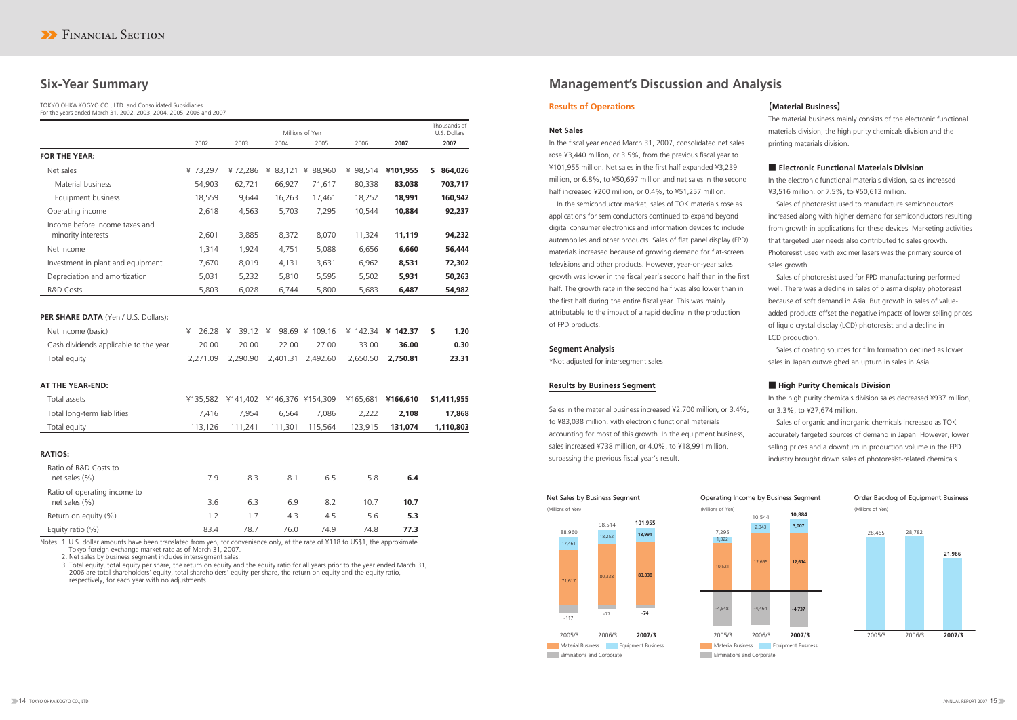## **Six-Year Summary Management's Discussion and Analysis**

#### **Results of Operations**

#### **Net Sales**

In the fiscal year ended March 31, 2007, consolidated net sales rose ¥3,440 million, or 3.5%, from the previous fiscal year to ¥101,955 million. Net sales in the first half expanded ¥3,239 million, or 6.8%, to ¥50,697 million and net sales in the second half increased ¥200 million, or 0.4%, to ¥51,257 million.

In the semiconductor market, sales of TOK materials rose as applications for semiconductors continued to expand beyond digital consumer electronics and information devices to include automobiles and other products. Sales of flat panel display (FPD) materials increased because of growing demand for flat-screen televisions and other products. However, year-on-year sales growth was lower in the fiscal year's second half than in the first half. The growth rate in the second half was also lower than in the first half during the entire fiscal year. This was mainly attributable to the impact of a rapid decline in the production of FPD products.

#### **Segment Analysis**

\*Not adjusted for intersegment sales

#### **Results by Business Segment**

Sales in the material business increased ¥2,700 million, or 3.4%, to ¥83,038 million, with electronic functional materials accounting for most of this growth. In the equipment business, sales increased ¥738 million, or 4.0%, to ¥18,991 million, surpassing the previous fiscal year's result.

### 【**Material Business**】

The material business mainly consists of the electronic functional materials division, the high purity chemicals division and the printing materials division.

### ■ **Electronic Functional Materials Division**

In the electronic functional materials division, sales increased ¥3,516 million, or 7.5%, to ¥50,613 million.

Sales of photoresist used to manufacture semiconductors increased along with higher demand for semiconductors resulting from growth in applications for these devices. Marketing activities that targeted user needs also contributed to sales growth. Photoresist used with excimer lasers was the primary source of sales growth.

Sales of photoresist used for FPD manufacturing performed well. There was a decline in sales of plasma display photoresist because of soft demand in Asia. But growth in sales of valueadded products offset the negative impacts of lower selling prices of liquid crystal display (LCD) photoresist and a decline in LCD production.

Sales of coating sources for film formation declined as lower sales in Japan outweighed an upturn in sales in Asia.

#### ■ **High Purity Chemicals Division**

In the high purity chemicals division sales decreased ¥937 million, or 3.3%, to ¥27,674 million.

Sales of organic and inorganic chemicals increased as TOK accurately targeted sources of demand in Japan. However, lower selling prices and a downturn in production volume in the FPD industry brought down sales of photoresist-related chemicals.



#### TOKYO OHKA KOGYO CO., LTD. and Consolidated Subsidiaries For the years ended March 31, 2002, 2003, 2004, 2005, 2006 and 2007

|                                                      |            |            |                   | Millions of Yen   |            |          | Thousands of<br>U.S. Dollars |
|------------------------------------------------------|------------|------------|-------------------|-------------------|------------|----------|------------------------------|
|                                                      | 2002       | 2003       | 2004              | 2005              | 2006       | 2007     | 2007                         |
| <b>FOR THE YEAR:</b>                                 |            |            |                   |                   |            |          |                              |
| Net sales                                            | ¥ 73,297   | ¥72,286    |                   | ¥ 83,121 ¥ 88,960 | ¥ 98,514   | ¥101,955 | 864,026<br>\$                |
| <b>Material business</b>                             | 54,903     | 62,721     | 66,927            | 71,617            | 80,338     | 83,038   | 703,717                      |
| Equipment business                                   | 18,559     | 9,644      | 16,263            | 17,461            | 18,252     | 18,991   | 160,942                      |
| Operating income                                     | 2,618      | 4,563      | 5,703             | 7,295             | 10,544     | 10,884   | 92,237                       |
| Income before income taxes and<br>minority interests | 2,601      | 3,885      | 8,372             | 8,070             | 11,324     | 11,119   | 94,232                       |
| Net income                                           | 1,314      | 1,924      | 4,751             | 5,088             | 6,656      | 6,660    | 56,444                       |
| Investment in plant and equipment                    | 7,670      | 8,019      | 4,131             | 3,631             | 6,962      | 8,531    | 72,302                       |
| Depreciation and amortization                        | 5,031      | 5,232      | 5,810             | 5,595             | 5,502      | 5,931    | 50,263                       |
| R&D Costs                                            | 5,803      | 6,028      | 6,744             | 5,800             | 5,683      | 6,487    | 54,982                       |
|                                                      |            |            |                   |                   |            |          |                              |
| PER SHARE DATA (Yen / U.S. Dollars):                 |            |            |                   |                   |            |          |                              |
| Net income (basic)                                   | ¥<br>26.28 | ¥<br>39.12 | ¥                 | 98.69 ¥ 109.16    | ¥ $142.34$ | ¥ 142.37 | 1.20<br>\$                   |
| Cash dividends applicable to the year                | 20.00      | 20.00      | 22.00             | 27.00             | 33.00      | 36.00    | 0.30                         |
| Total equity                                         | 2,271.09   | 2,290.90   | 2,401.31          | 2,492.60          | 2,650.50   | 2,750.81 | 23.31                        |
|                                                      |            |            |                   |                   |            |          |                              |
| AT THE YEAR-END:                                     |            |            |                   |                   |            |          |                              |
| Total assets                                         | ¥135,582   | ¥141,402   | ¥146,376 ¥154,309 |                   | ¥165,681   | ¥166,610 | \$1,411,955                  |
| Total long-term liabilities                          | 7,416      | 7,954      | 6,564             | 7,086             | 2,222      | 2,108    | 17,868                       |
| Total equity                                         | 113,126    | 111,241    | 111,301           | 115,564           | 123,915    | 131,074  | 1,110,803                    |
|                                                      |            |            |                   |                   |            |          |                              |
| <b>RATIOS:</b>                                       |            |            |                   |                   |            |          |                              |
| Ratio of R&D Costs to<br>net sales (%)               | 7.9        | 8.3        | 8.1               | 6.5               | 5.8        | 6.4      |                              |
| Ratio of operating income to<br>net sales (%)        | 3.6        | 6.3        | 6.9               | 8.2               | 10.7       | 10.7     |                              |
| Return on equity (%)                                 | 1.2        | 1.7        | 4.3               | 4.5               | 5.6        | 5.3      |                              |
| Equity ratio (%)                                     | 83.4       | 78.7       | 76.0              | 74.9              | 74.8       | 77.3     |                              |

Notes: 1. U.S. dollar amounts have been translated from yen, for convenience only, at the rate of ¥118 to US\$1, the approximate Tokyo foreign exchange market rate as of March 31, 2007.

2. Net sales by business segment includes intersegment sales.

3. Total equity, total equity per share, the return on equity and the equity ratio for all years prior to the year ended March 31, 2006 are total shareholders' equity, total shareholders' equity per share, the return on equity and the equity ratio, respectively, for each year with no adjustments.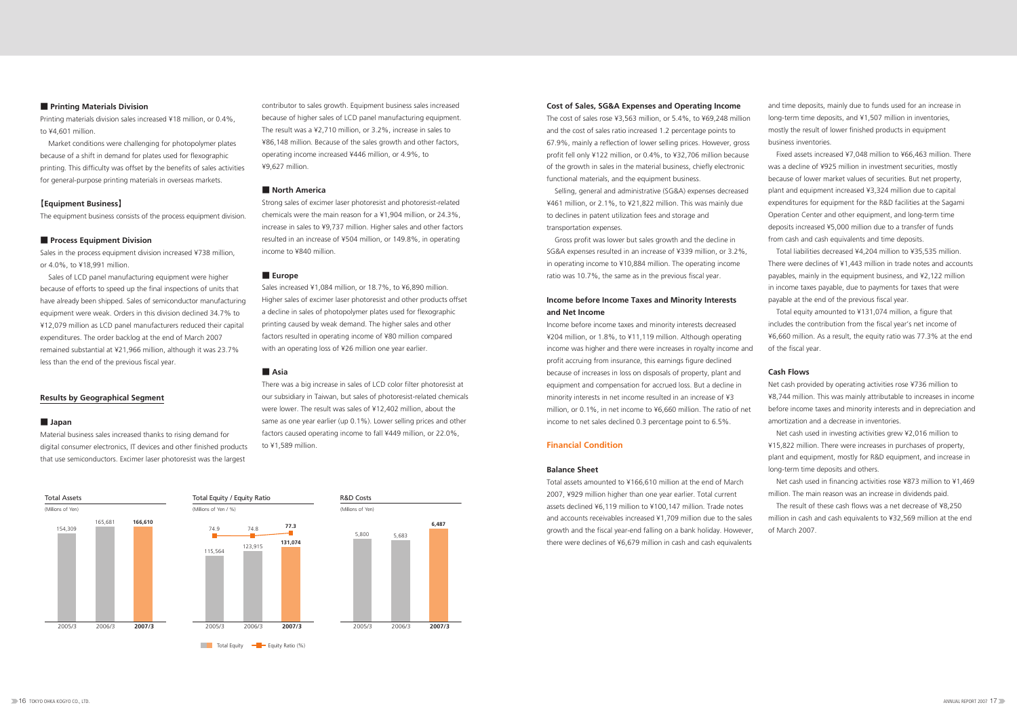#### ■ **Printing Materials Division**

Printing materials division sales increased ¥18 million, or 0.4%, to ¥4,601 million.

Market conditions were challenging for photopolymer plates because of a shift in demand for plates used for flexographic printing. This difficulty was offset by the benefits of sales activities for general-purpose printing materials in overseas markets.

#### 【**Equipment Business**】

The equipment business consists of the process equipment division.

#### ■ **Process Equipment Division**

Sales in the process equipment division increased ¥738 million, or 4.0%, to ¥18,991 million.

Sales of LCD panel manufacturing equipment were higher because of efforts to speed up the final inspections of units that have already been shipped. Sales of semiconductor manufacturing equipment were weak. Orders in this division declined 34.7% to ¥12,079 million as LCD panel manufacturers reduced their capital expenditures. The order backlog at the end of March 2007 remained substantial at ¥21,966 million, although it was 23.7% less than the end of the previous fiscal year.

#### **Results by Geographical Segment**

#### ■ **Japan**

Material business sales increased thanks to rising demand for digital consumer electronics, IT devices and other finished products that use semiconductors. Excimer laser photoresist was the largest

#### **Cost of Sales, SG&A Expenses and Operating Income**

The cost of sales rose ¥3,563 million, or 5.4%, to ¥69,248 million and the cost of sales ratio increased 1.2 percentage points to 67.9%, mainly a reflection of lower selling prices. However, gross profit fell only ¥122 million, or 0.4%, to ¥32,706 million because of the growth in sales in the material business, chiefly electronic functional materials, and the equipment business.

Selling, general and administrative (SG&A) expenses decreased ¥461 million, or 2.1%, to ¥21,822 million. This was mainly due to declines in patent utilization fees and storage and transportation expenses.

Gross profit was lower but sales growth and the decline in SG&A expenses resulted in an increase of ¥339 million, or 3.2%, in operating income to ¥10,884 million. The operating income ratio was 10.7%, the same as in the previous fiscal year.

### **Income before Income Taxes and Minority Interests and Net Income**

Income before income taxes and minority interests decreased ¥204 million, or 1.8%, to ¥11,119 million. Although operating income was higher and there were increases in royalty income and profit accruing from insurance, this earnings figure declined because of increases in loss on disposals of property, plant and equipment and compensation for accrued loss. But a decline in minority interests in net income resulted in an increase of ¥3 million, or 0.1%, in net income to ¥6,660 million. The ratio of net income to net sales declined 0.3 percentage point to 6.5%.

#### **Financial Condition**

#### **Balance Sheet**

contributor to sales growth. Equipment business sales increased because of higher sales of LCD panel manufacturing equipment. The result was a ¥2,710 million, or 3.2%, increase in sales to ¥86,148 million. Because of the sales growth and other factors, operating income increased ¥446 million, or 4.9%, to ¥9,627 million.

#### ■ **North America**

Strong sales of excimer laser photoresist and photoresist-related chemicals were the main reason for a ¥1,904 million, or 24.3%, increase in sales to ¥9,737 million. Higher sales and other factors resulted in an increase of ¥504 million, or 149.8%, in operating income to ¥840 million.

#### ■ **Europe**

Sales increased ¥1,084 million, or 18.7%, to ¥6,890 million. Higher sales of excimer laser photoresist and other products offset a decline in sales of photopolymer plates used for flexographic printing caused by weak demand. The higher sales and other factors resulted in operating income of ¥80 million compared with an operating loss of ¥26 million one year earlier.

#### ■ **Asia**

There was a big increase in sales of LCD color filter photoresist at our subsidiary in Taiwan, but sales of photoresist-related chemicals were lower. The result was sales of ¥12,402 million, about the same as one year earlier (up 0.1%). Lower selling prices and other factors caused operating income to fall ¥449 million, or 22.0%, to ¥1,589 million.

> Total assets amounted to ¥166,610 million at the end of March 2007, ¥929 million higher than one year earlier. Total current assets declined ¥6,119 million to ¥100,147 million. Trade notes and accounts receivables increased ¥1,709 million due to the sales growth and the fiscal year-end falling on a bank holiday. However, there were declines of ¥6,679 million in cash and cash equivalents Net cash used in financing activities rose ¥873 million to ¥1,469 million. The main reason was an increase in dividends paid. The result of these cash flows was a net decrease of ¥8,250 million in cash and cash equivalents to ¥32,569 million at the end of March 2007.

and time deposits, mainly due to funds used for an increase in long-term time deposits, and ¥1,507 million in inventories. mostly the result of lower finished products in equipment business inventories.

Fixed assets increased ¥7,048 million to ¥66,463 million. There was a decline of ¥925 million in investment securities, mostly because of lower market values of securities. But net property, plant and equipment increased ¥3,324 million due to capital expenditures for equipment for the R&D facilities at the Sagami Operation Center and other equipment, and long-term time deposits increased ¥5,000 million due to a transfer of funds from cash and cash equivalents and time deposits.

Total liabilities decreased ¥4,204 million to ¥35,535 million. There were declines of ¥1,443 million in trade notes and accounts payables, mainly in the equipment business, and ¥2,122 million in income taxes payable, due to payments for taxes that were payable at the end of the previous fiscal year.

Total equity amounted to ¥131,074 million, a figure that includes the contribution from the fiscal year's net income of ¥6,660 million. As a result, the equity ratio was 77.3% at the end of the fiscal year.

#### **Cash Flows**

Net cash provided by operating activities rose ¥736 million to ¥8,744 million. This was mainly attributable to increases in income before income taxes and minority interests and in depreciation and amortization and a decrease in inventories.

Net cash used in investing activities grew ¥2,016 million to ¥15,822 million. There were increases in purchases of property, plant and equipment, mostly for R&D equipment, and increase in long-term time deposits and others.

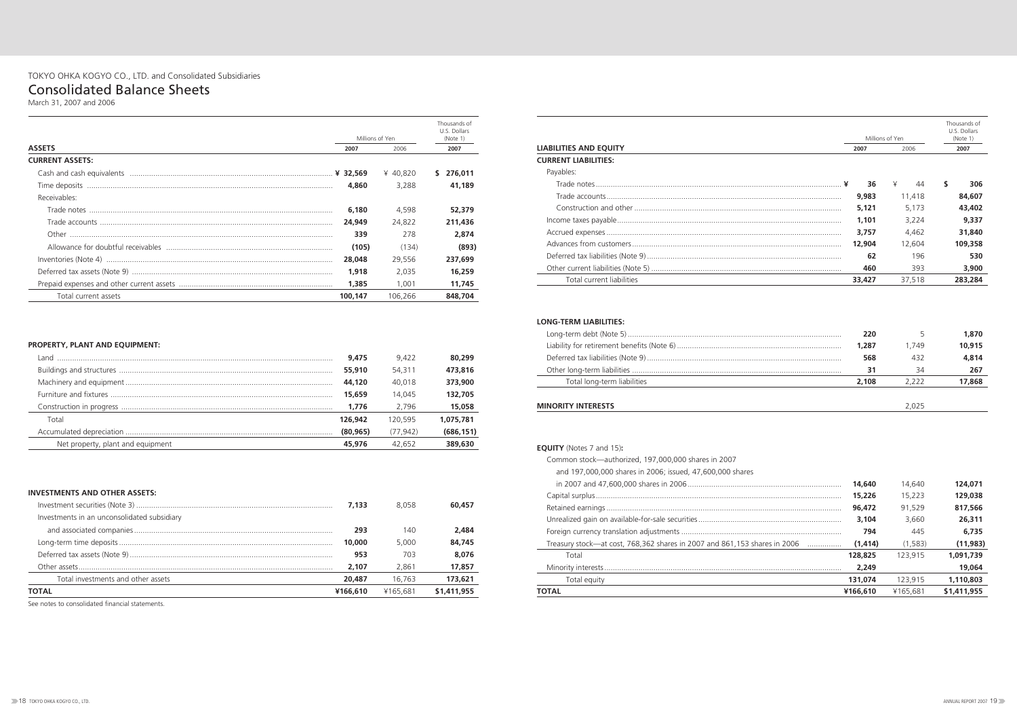|                        |         |                         | Thousands of<br>U.S. Dollars |
|------------------------|---------|-------------------------|------------------------------|
| <b>ASSETS</b>          | 2007    | Millions of Yen<br>2006 | (Note 1)<br>2007             |
| <b>CURRENT ASSETS:</b> |         |                         |                              |
|                        |         | ¥ 40.820                | 276,011<br>S.                |
|                        | 4,860   | 3.288                   | 41,189                       |
| Receivables:           |         |                         |                              |
|                        | 6,180   | 4,598                   | 52,379                       |
|                        | 24,949  | 24.822                  | 211,436                      |
|                        | 339     | 278                     | 2,874                        |
|                        | (105)   | (134)                   | (893)                        |
|                        | 28,048  | 29,556                  | 237,699                      |
|                        | 1,918   | 2.035                   | 16,259                       |
|                        | 1,385   | 1.001                   | 11,745                       |
| Total current assets   | 100.147 | 106.266                 | 848,704                      |

### **PROPERTY, PLANT AND EQUIPMENT:**

| l and.                            | 9,475     | 9.422    | 80,299     |
|-----------------------------------|-----------|----------|------------|
|                                   | 55,910    | 54.311   | 473,816    |
|                                   | 44,120    | 40.018   | 373,900    |
|                                   | 15,659    | 14.045   | 132,705    |
|                                   | 1,776     | 2.796    | 15,058     |
| Total                             | 126,942   | 120.595  | 1,075,781  |
|                                   | (80, 965) | (77.942) | (686, 151) |
| Net property, plant and equipment | 45,976    | 42.652   | 389,630    |
|                                   |           |          |            |

#### **INVESTMENTS AND OTHER ASSETS:**

|                                             | 7.133    | 8.058    | 60,457      |
|---------------------------------------------|----------|----------|-------------|
| Investments in an unconsolidated subsidiary |          |          |             |
|                                             | 293      | 140      | 2,484       |
|                                             | 10,000   | 5.000    | 84,745      |
|                                             | 953      | 703      | 8,076       |
|                                             | 2.107    | 2.861    | 17,857      |
| Total investments and other assets          | 20,487   | 16.763   | 173,621     |
| ΤΟΤΑL                                       | ¥166,610 | ¥165.681 | \$1,411,955 |

See notes to consolidated financial statements.

|                             |        |                         | Thousands of<br>U.S. Dollars |
|-----------------------------|--------|-------------------------|------------------------------|
| LIABILITIES AND EQUITY      | 2007   | Millions of Yen<br>2006 | (Note 1)<br>2007             |
| <b>CURRENT LIABILITIES:</b> |        |                         |                              |
| Payables:                   |        |                         |                              |
|                             | 36     | ¥<br>44                 | S.<br>306                    |
|                             | 9,983  | 11,418                  | 84,607                       |
|                             | 5,121  | 5.173                   | 43,402                       |
|                             | 1,101  | 3,224                   | 9,337                        |
|                             | 3.757  | 4,462                   | 31,840                       |
|                             | 12,904 | 12.604                  | 109,358                      |
|                             | 62     | 196                     | 530                          |
|                             | 460    | 393                     | 3,900                        |
| Total current liabilities   | 33,427 | 37,518                  | 283,284                      |
| LONG-TERM LIABILITIES:      |        |                         |                              |
|                             | 220    | 5                       | 1,870                        |
|                             | 1,287  | 1,749                   | 10,915                       |
|                             | 568    | 432                     | 4,814                        |
|                             | 31     | 34                      | 267                          |
| Total long-term liabilities | 2,108  | 2,222                   | 17,868                       |
|                             |        |                         |                              |

|                               |        |                 | Thousands of<br>U.S. Dollars |
|-------------------------------|--------|-----------------|------------------------------|
| <b>LIABILITIES AND EQUITY</b> |        | Millions of Yen | (Note 1)                     |
| <b>CURRENT LIABILITIES:</b>   | 2007   | 2006            | 2007                         |
| Payables:                     |        |                 |                              |
|                               | 36     | ¥<br>44         | \$<br>306                    |
|                               | 9,983  | 11,418          | 84,607                       |
|                               | 5,121  | 5,173           | 43,402                       |
|                               | 1,101  | 3,224           | 9,337                        |
|                               | 3.757  | 4,462           | 31,840                       |
|                               | 12,904 | 12,604          | 109,358                      |
|                               | 62     | 196             | 530                          |
|                               | 460    | 393             | 3,900                        |
| Total current liabilities     | 33,427 | 37,518          | 283,284                      |
| <b>LONG-TERM LIABILITIES:</b> | 220    | 5               | 1,870                        |
|                               | 1,287  | 1.749           | 10,915                       |
|                               | 568    | 432             | 4,814                        |
|                               | 31     | 34              | 267                          |
| Total long-term liabilities   | 2,108  | 2,222           | 17,868                       |
|                               |        |                 |                              |

#### **EQUITY** (Notes 7 and 15)**:**

| Common stock—authorized, 197,000,000 shares in 2007                       |          |          |             |
|---------------------------------------------------------------------------|----------|----------|-------------|
| and 197,000,000 shares in 2006; issued, 47,600,000 shares                 |          |          |             |
|                                                                           | 14,640   | 14.640   | 124.071     |
|                                                                           | 15,226   | 15.223   | 129,038     |
|                                                                           | 96,472   | 91.529   | 817,566     |
|                                                                           | 3,104    | 3.660    | 26,311      |
|                                                                           | 794      | 445      | 6,735       |
| Treasury stock—at cost, 768,362 shares in 2007 and 861,153 shares in 2006 | (1.414)  | (1.583)  | (11, 983)   |
| Total                                                                     | 128,825  | 123.915  | 1.091.739   |
|                                                                           | 2.249    |          | 19,064      |
| Total equity                                                              | 131.074  | 123.915  | 1,110,803   |
| <b>TOTAL</b>                                                              | ¥166,610 | ¥165.681 | \$1,411,955 |

## TOKYO OHKA KOGYO CO., LTD. and Consolidated Subsidiaries

## Consolidated Balance Sheets

March 31, 2007 and 2006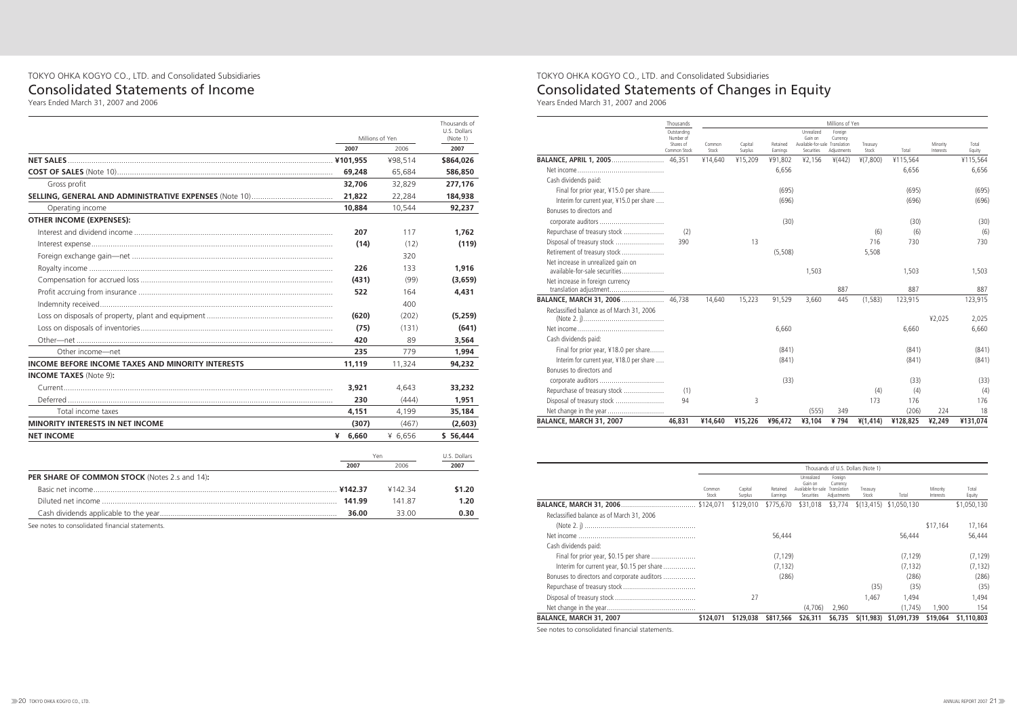|                                                                     | Thousands                                             |                 |                    |                      |                                                                       | Millions of Yen                    |                   |          |                       |                 |
|---------------------------------------------------------------------|-------------------------------------------------------|-----------------|--------------------|----------------------|-----------------------------------------------------------------------|------------------------------------|-------------------|----------|-----------------------|-----------------|
|                                                                     | Outstanding<br>Number of<br>Shares of<br>Common Stock | Common<br>Stock | Capital<br>Surplus | Retained<br>Earnings | Unrealized<br>Gain on<br>Available-for-sale Translation<br>Securities | Foreign<br>Currency<br>Adjustments | Treasury<br>Stock | Total    | Minority<br>Interests | Total<br>Equity |
| <b>BALANCE, APRIL 1, 2005</b>                                       | 46.351                                                | ¥14,640         | ¥15,209            | ¥91,802              | ¥2,156                                                                | 4(442)                             | 4(7,800)          | ¥115,564 |                       | ¥115,564        |
|                                                                     |                                                       |                 |                    | 6.656                |                                                                       |                                    |                   | 6.656    |                       | 6,656           |
| Cash dividends paid:                                                |                                                       |                 |                    |                      |                                                                       |                                    |                   |          |                       |                 |
| Final for prior year, ¥15.0 per share                               |                                                       |                 |                    | (695)                |                                                                       |                                    |                   | (695)    |                       | (695)           |
| Interim for current year, ¥15.0 per share                           |                                                       |                 |                    | (696)                |                                                                       |                                    |                   | (696)    |                       | (696)           |
| Bonuses to directors and                                            |                                                       |                 |                    |                      |                                                                       |                                    |                   |          |                       |                 |
|                                                                     |                                                       |                 |                    | (30)                 |                                                                       |                                    |                   | (30)     |                       | (30)            |
| Repurchase of treasury stock                                        | (2)                                                   |                 |                    |                      |                                                                       |                                    | (6)               | (6)      |                       | (6)             |
| Disposal of treasury stock                                          | 390                                                   |                 | 13                 |                      |                                                                       |                                    | 716               | 730      |                       | 730             |
| Retirement of treasury stock                                        |                                                       |                 |                    | (5, 508)             |                                                                       |                                    | 5,508             |          |                       |                 |
| Net increase in unrealized gain on<br>available-for-sale securities |                                                       |                 |                    |                      | 1,503                                                                 |                                    |                   | 1,503    |                       | 1,503           |
| Net increase in foreign currency<br>translation adjustment          |                                                       |                 |                    |                      |                                                                       | 887                                |                   | 887      |                       | 887             |
|                                                                     |                                                       | 14.640          | 15,223             | 91,529               | 3,660                                                                 | 445                                | (1, 583)          | 123,915  |                       | 123,915         |
| Reclassified balance as of March 31, 2006                           |                                                       |                 |                    |                      |                                                                       |                                    |                   |          | ¥2,025                | 2,025           |
|                                                                     |                                                       |                 |                    | 6,660                |                                                                       |                                    |                   | 6,660    |                       | 6,660           |
| Cash dividends paid:                                                |                                                       |                 |                    |                      |                                                                       |                                    |                   |          |                       |                 |
| Final for prior year, ¥18.0 per share                               |                                                       |                 |                    | (841)                |                                                                       |                                    |                   | (841)    |                       | (841)           |
| Interim for current year, ¥18.0 per share                           |                                                       |                 |                    | (841)                |                                                                       |                                    |                   | (841)    |                       | (841)           |
| Bonuses to directors and                                            |                                                       |                 |                    |                      |                                                                       |                                    |                   |          |                       |                 |
|                                                                     |                                                       |                 |                    | (33)                 |                                                                       |                                    |                   | (33)     |                       | (33)            |
| Repurchase of treasury stock                                        | (1)                                                   |                 |                    |                      |                                                                       |                                    | (4)               | (4)      |                       | (4)             |
| Disposal of treasury stock                                          | 94                                                    |                 | 3                  |                      |                                                                       |                                    | 173               | 176      |                       | 176             |
| Net change in the year                                              |                                                       |                 |                    |                      | (555)                                                                 | 349                                |                   | (206)    | 224                   | 18              |
| BALANCE, MARCH 31, 2007                                             | 46.831                                                | ¥14,640         | ¥15,226            | ¥96,472              | ¥3,104                                                                | ¥794                               | 4(1, 414)         | ¥128,825 | ¥2,249                | ¥131,074        |

|                                             |           |           |           |                                             |                                    | Thousands of U.S. Dollars (Note 1) |                         |           |             |
|---------------------------------------------|-----------|-----------|-----------|---------------------------------------------|------------------------------------|------------------------------------|-------------------------|-----------|-------------|
|                                             | Common    | Capital   | Retained  | Unrealized<br>Gain on<br>Available-for-sale | Foreign<br>Currency<br>Translation | Treasury                           |                         | Minority  | Total       |
|                                             | Stock     | Surplus   | Earnings  | Securities                                  | Adjustments                        | Stock                              | Total                   | Interests | Equity      |
|                                             |           | \$129,010 | \$775,670 | \$31,018                                    | \$3,774                            |                                    | $(13, 415)$ \$1,050,130 |           | \$1,050,130 |
| Reclassified balance as of March 31, 2006   |           |           |           |                                             |                                    |                                    |                         |           |             |
|                                             |           |           |           |                                             |                                    |                                    |                         | \$17,164  | 17.164      |
|                                             |           |           | 56,444    |                                             |                                    |                                    | 56.444                  |           | 56,444      |
| Cash dividends paid:                        |           |           |           |                                             |                                    |                                    |                         |           |             |
| Final for prior year, \$0.15 per share      |           |           | (7, 129)  |                                             |                                    |                                    | (7, 129)                |           | (7, 129)    |
| Interim for current year, \$0.15 per share  |           |           | (7, 132)  |                                             |                                    |                                    | (7, 132)                |           | (7, 132)    |
| Bonuses to directors and corporate auditors |           |           | (286)     |                                             |                                    |                                    | (286)                   |           | (286)       |
|                                             |           |           |           |                                             |                                    | (35)                               | (35)                    |           | (35)        |
|                                             |           | 27        |           |                                             |                                    | 1.467                              | 1.494                   |           | 1.494       |
|                                             |           |           |           | (4,706)                                     | 2,960                              |                                    | (1, 745)                | 1,900     | 154         |
| BALANCE, MARCH 31, 2007                     | \$124,071 | \$129,038 | \$817,566 | \$26,311                                    | \$6,735                            | \$(11, 983)                        | \$1,091,739             | \$19,064  | \$1,110,803 |

See notes to consolidated financial statements.

| 2007<br>2006<br>2007<br>¥98,514<br>69,248<br>65,684<br>Gross profit<br>32,706<br>32,829<br>21,822<br>22,284<br>Operating income<br>10,884<br>10,544<br><b>OTHER INCOME (EXPENSES):</b><br>207<br>117<br>(12)<br>(14)<br>320<br>226<br>133<br>(431)<br>(99)<br>522<br>164<br>400<br>(620)<br>(202)<br>(75)<br>(131)<br>420<br>89<br>235<br>779<br>Other income—net<br>11,119<br><b>INCOME BEFORE INCOME TAXES AND MINORITY INTERESTS</b><br>11,324<br><b>INCOME TAXES</b> (Note 9):<br>3,921<br>4,643<br>230<br>(444)<br>4,151<br>Total income taxes<br>4,199<br><b>MINORITY INTERESTS IN NET INCOME</b><br>(307)<br>(467)<br>¥ $6,660$<br>¥ 6,656<br><b>NET INCOME</b><br>Yen | Millions of Yen |  | Thousands of<br>U.S. Dollars<br>(Note 1) |
|-------------------------------------------------------------------------------------------------------------------------------------------------------------------------------------------------------------------------------------------------------------------------------------------------------------------------------------------------------------------------------------------------------------------------------------------------------------------------------------------------------------------------------------------------------------------------------------------------------------------------------------------------------------------------------|-----------------|--|------------------------------------------|
|                                                                                                                                                                                                                                                                                                                                                                                                                                                                                                                                                                                                                                                                               |                 |  |                                          |
|                                                                                                                                                                                                                                                                                                                                                                                                                                                                                                                                                                                                                                                                               |                 |  | \$864,026                                |
|                                                                                                                                                                                                                                                                                                                                                                                                                                                                                                                                                                                                                                                                               |                 |  | 586,850                                  |
|                                                                                                                                                                                                                                                                                                                                                                                                                                                                                                                                                                                                                                                                               |                 |  | 277,176                                  |
|                                                                                                                                                                                                                                                                                                                                                                                                                                                                                                                                                                                                                                                                               |                 |  | 184,938                                  |
|                                                                                                                                                                                                                                                                                                                                                                                                                                                                                                                                                                                                                                                                               |                 |  | 92,237                                   |
|                                                                                                                                                                                                                                                                                                                                                                                                                                                                                                                                                                                                                                                                               |                 |  |                                          |
|                                                                                                                                                                                                                                                                                                                                                                                                                                                                                                                                                                                                                                                                               |                 |  | 1,762                                    |
|                                                                                                                                                                                                                                                                                                                                                                                                                                                                                                                                                                                                                                                                               |                 |  | (119)                                    |
|                                                                                                                                                                                                                                                                                                                                                                                                                                                                                                                                                                                                                                                                               |                 |  |                                          |
|                                                                                                                                                                                                                                                                                                                                                                                                                                                                                                                                                                                                                                                                               |                 |  | 1,916                                    |
|                                                                                                                                                                                                                                                                                                                                                                                                                                                                                                                                                                                                                                                                               |                 |  | (3,659)                                  |
|                                                                                                                                                                                                                                                                                                                                                                                                                                                                                                                                                                                                                                                                               |                 |  | 4,431                                    |
|                                                                                                                                                                                                                                                                                                                                                                                                                                                                                                                                                                                                                                                                               |                 |  |                                          |
|                                                                                                                                                                                                                                                                                                                                                                                                                                                                                                                                                                                                                                                                               |                 |  | (5,259)                                  |
|                                                                                                                                                                                                                                                                                                                                                                                                                                                                                                                                                                                                                                                                               |                 |  | (641)                                    |
|                                                                                                                                                                                                                                                                                                                                                                                                                                                                                                                                                                                                                                                                               |                 |  | 3,564                                    |
|                                                                                                                                                                                                                                                                                                                                                                                                                                                                                                                                                                                                                                                                               |                 |  | 1,994                                    |
|                                                                                                                                                                                                                                                                                                                                                                                                                                                                                                                                                                                                                                                                               |                 |  | 94,232                                   |
|                                                                                                                                                                                                                                                                                                                                                                                                                                                                                                                                                                                                                                                                               |                 |  |                                          |
|                                                                                                                                                                                                                                                                                                                                                                                                                                                                                                                                                                                                                                                                               |                 |  | 33,232                                   |
|                                                                                                                                                                                                                                                                                                                                                                                                                                                                                                                                                                                                                                                                               |                 |  | 1,951                                    |
|                                                                                                                                                                                                                                                                                                                                                                                                                                                                                                                                                                                                                                                                               |                 |  | 35,184                                   |
|                                                                                                                                                                                                                                                                                                                                                                                                                                                                                                                                                                                                                                                                               |                 |  | (2,603)                                  |
|                                                                                                                                                                                                                                                                                                                                                                                                                                                                                                                                                                                                                                                                               |                 |  | \$56,444                                 |
|                                                                                                                                                                                                                                                                                                                                                                                                                                                                                                                                                                                                                                                                               |                 |  |                                          |
|                                                                                                                                                                                                                                                                                                                                                                                                                                                                                                                                                                                                                                                                               |                 |  | U.S. Dollars                             |
| 2007<br>2006<br>2007<br>PER SHARE OF COMMON STOCK (Notes 2.s and 14):                                                                                                                                                                                                                                                                                                                                                                                                                                                                                                                                                                                                         |                 |  |                                          |
| ¥142.34                                                                                                                                                                                                                                                                                                                                                                                                                                                                                                                                                                                                                                                                       |                 |  | \$1.20                                   |
| 141.87                                                                                                                                                                                                                                                                                                                                                                                                                                                                                                                                                                                                                                                                        |                 |  | 1.20                                     |
| 33.00<br>36.00                                                                                                                                                                                                                                                                                                                                                                                                                                                                                                                                                                                                                                                                |                 |  | 0.30                                     |

See notes to consolidated financial statements.

## TOKYO OHKA KOGYO CO., LTD. and Consolidated Subsidiaries

## Consolidated Statements of Income

Years Ended March 31, 2007 and 2006

## TOKYO OHKA KOGYO CO., LTD. and Consolidated Subsidiaries Consolidated Statements of Changes in Equity

Years Ended March 31, 2007 and 2006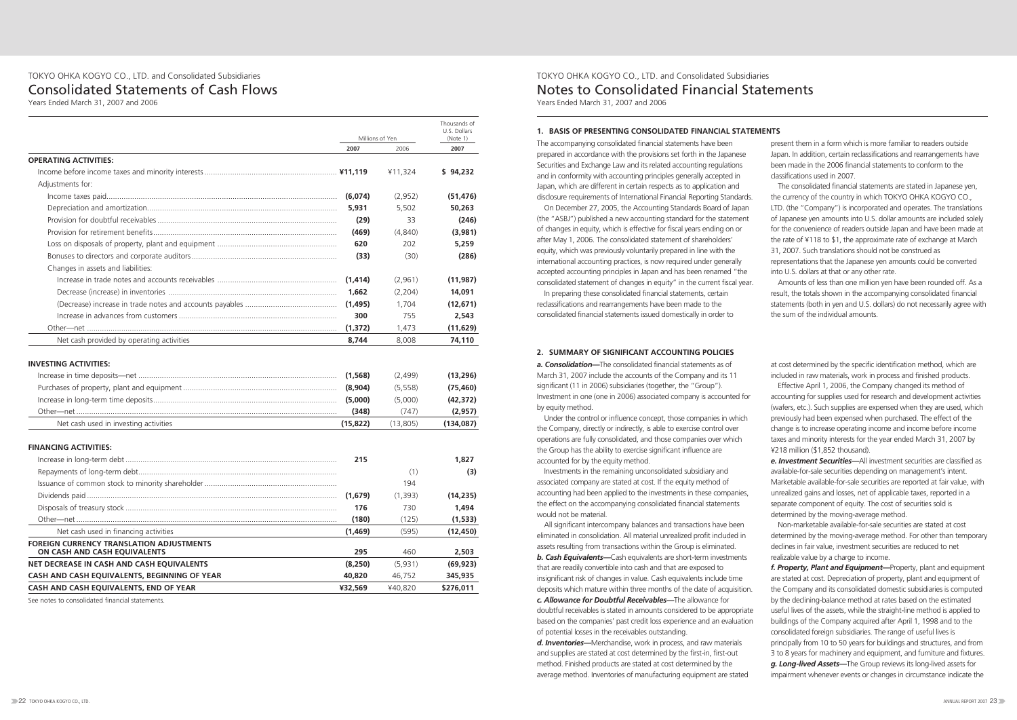|                                                                                 |                                | Millions of Yen                |                                     |
|---------------------------------------------------------------------------------|--------------------------------|--------------------------------|-------------------------------------|
|                                                                                 | 2007                           | 2006                           | (Note 1)<br>2007                    |
| <b>OPERATING ACTIVITIES:</b>                                                    |                                |                                |                                     |
|                                                                                 |                                | ¥11,324                        | \$94,232                            |
| Adjustments for:                                                                |                                |                                |                                     |
|                                                                                 | (6,074)                        | (2,952)                        | (51, 476)                           |
|                                                                                 | 5,931                          | 5,502                          | 50,263                              |
|                                                                                 | (29)                           | 33                             | (246)                               |
|                                                                                 | (469)                          | (4,840)                        | (3,981)                             |
|                                                                                 | 620                            | 202                            | 5,259                               |
|                                                                                 | (33)                           | (30)                           | (286)                               |
| Changes in assets and liabilities:                                              |                                |                                |                                     |
|                                                                                 | (1, 414)                       | (2,961)                        | (11, 987)                           |
|                                                                                 | 1,662                          | (2,204)                        | 14,091                              |
|                                                                                 | (1, 495)                       | 1,704                          | (12, 671)                           |
|                                                                                 | 300                            | 755                            | 2,543                               |
|                                                                                 | (1, 372)                       | 1,473                          | (11, 629)                           |
| Net cash provided by operating activities                                       | 8,744                          | 8,008                          | 74,110                              |
|                                                                                 | (1, 568)<br>(8,904)<br>(5,000) | (2,499)<br>(5, 558)<br>(5,000) | (13, 296)<br>(75, 460)<br>(42, 372) |
|                                                                                 | (348)                          | (747)                          | (2,957)                             |
| Net cash used in investing activities                                           | (15, 822)                      | (13,805)                       | (134,087)                           |
| <b>FINANCING ACTIVITIES:</b>                                                    |                                |                                |                                     |
|                                                                                 | 215                            |                                | 1,827                               |
|                                                                                 |                                | (1)                            | (3)                                 |
|                                                                                 |                                | 194                            |                                     |
|                                                                                 | (1,679)                        | (1,393)                        | (14, 235)                           |
|                                                                                 | 176                            | 730                            | 1,494                               |
|                                                                                 | (180)                          | (125)                          | (1, 533)                            |
| Net cash used in financing activities                                           | (1,469)                        | (595)                          | (12, 450)                           |
| <b>FOREIGN CURRENCY TRANSLATION ADJUSTMENTS</b><br>ON CASH AND CASH EQUIVALENTS | 295                            | 460                            | 2,503                               |
| NET DECREASE IN CASH AND CASH EQUIVALENTS                                       | (8, 250)                       | (5,931)                        | (69, 923)                           |
| CASH AND CASH EQUIVALENTS, BEGINNING OF YEAR                                    | 40,820                         | 46,752                         | 345,935                             |

**CASH AND CASH EQUIVALENTS, END OF YEAR ¥32,569** ¥40,820 **\$276,011**

See notes to consolidated financial statements.

## TOKYO OHKA KOGYO CO., LTD. and Consolidated Subsidiaries Consolidated Statements of Cash Flows

Years Ended March 31, 2007 and 2006

#### **1. BASIS OF PRESENTING CONSOLIDATED FINANCIAL STATEMENTS**

The accompanying consolidated financial statements have been prepared in accordance with the provisions set forth in the Japanese Securities and Exchange Law and its related accounting regulations and in conformity with accounting principles generally accepted in Japan, which are different in certain respects as to application and disclosure requirements of International Financial Reporting Standards.

On December 27, 2005, the Accounting Standards Board of Japan (the "ASBJ") published a new accounting standard for the statement of changes in equity, which is effective for fiscal years ending on or after May 1, 2006. The consolidated statement of shareholders' equity, which was previously voluntarily prepared in line with the international accounting practices, is now required under generally accepted accounting principles in Japan and has been renamed "the consolidated statement of changes in equity" in the current fiscal year.

In preparing these consolidated financial statements, certain reclassifications and rearrangements have been made to the consolidated financial statements issued domestically in order to present them in a form which is more familiar to readers outside Japan. In addition, certain reclassifications and rearrangements have been made in the 2006 financial statements to conform to the classifications used in 2007.

The consolidated financial statements are stated in Japanese yen, the currency of the country in which TOKYO OHKA KOGYO CO., LTD. (the "Company") is incorporated and operates. The translations of Japanese yen amounts into U.S. dollar amounts are included solely for the convenience of readers outside Japan and have been made at the rate of ¥118 to \$1, the approximate rate of exchange at March 31, 2007. Such translations should not be construed as representations that the Japanese yen amounts could be converted into U.S. dollars at that or any other rate.

Amounts of less than one million yen have been rounded off. As a result, the totals shown in the accompanying consolidated financial statements (both in yen and U.S. dollars) do not necessarily agree with the sum of the individual amounts.

#### **2. SUMMARY OF SIGNIFICANT ACCOUNTING POLICIES**

*a. Consolidation—*The consolidated financial statements as of March 31, 2007 include the accounts of the Company and its 11 significant (11 in 2006) subsidiaries (together, the "Group"). Investment in one (one in 2006) associated company is accounted for by equity method.

Under the control or influence concept, those companies in which the Company, directly or indirectly, is able to exercise control over operations are fully consolidated, and those companies over which the Group has the ability to exercise significant influence are accounted for by the equity method.

Investments in the remaining unconsolidated subsidiary and associated company are stated at cost. If the equity method of accounting had been applied to the investments in these companies, the effect on the accompanying consolidated financial statements would not be material.

All significant intercompany balances and transactions have been eliminated in consolidation. All material unrealized profit included in assets resulting from transactions within the Group is eliminated. *b. Cash Equivalents—*Cash equivalents are short-term investments that are readily convertible into cash and that are exposed to insignificant risk of changes in value. Cash equivalents include time deposits which mature within three months of the date of acquisition. *c. Allowance for Doubtful Receivables—*The allowance for doubtful receivables is stated in amounts considered to be appropriate based on the companies' past credit loss experience and an evaluation of potential losses in the receivables outstanding.

*d. Inventories—*Merchandise, work in process, and raw materials and supplies are stated at cost determined by the first-in, first-out method. Finished products are stated at cost determined by the average method. Inventories of manufacturing equipment are stated at cost determined by the specific identification method, which are included in raw materials, work in process and finished products.

Effective April 1, 2006, the Company changed its method of accounting for supplies used for research and development activities (wafers, etc.). Such supplies are expensed when they are used, which previously had been expensed when purchased. The effect of the change is to increase operating income and income before income taxes and minority interests for the year ended March 31, 2007 by ¥218 million (\$1,852 thousand).

*e. Investment Securities—*All investment securities are classified as available-for-sale securities depending on management's intent. Marketable available-for-sale securities are reported at fair value, with unrealized gains and losses, net of applicable taxes, reported in a separate component of equity. The cost of securities sold is determined by the moving-average method.

Non-marketable available-for-sale securities are stated at cost determined by the moving-average method. For other than temporary declines in fair value, investment securities are reduced to net realizable value by a charge to income.

*f. Property, Plant and Equipment—*Property, plant and equipment are stated at cost. Depreciation of property, plant and equipment of the Company and its consolidated domestic subsidiaries is computed by the declining-balance method at rates based on the estimated useful lives of the assets, while the straight-line method is applied to buildings of the Company acquired after April 1, 1998 and to the consolidated foreign subsidiaries. The range of useful lives is principally from 10 to 50 years for buildings and structures, and from 3 to 8 years for machinery and equipment, and furniture and fixtures. *g. Long-lived Assets—*The Group reviews its long-lived assets for impairment whenever events or changes in circumstance indicate the

TOKYO OHKA KOGYO CO., LTD. and Consolidated Subsidiaries Notes to Consolidated Financial Statements Years Ended March 31, 2007 and 2006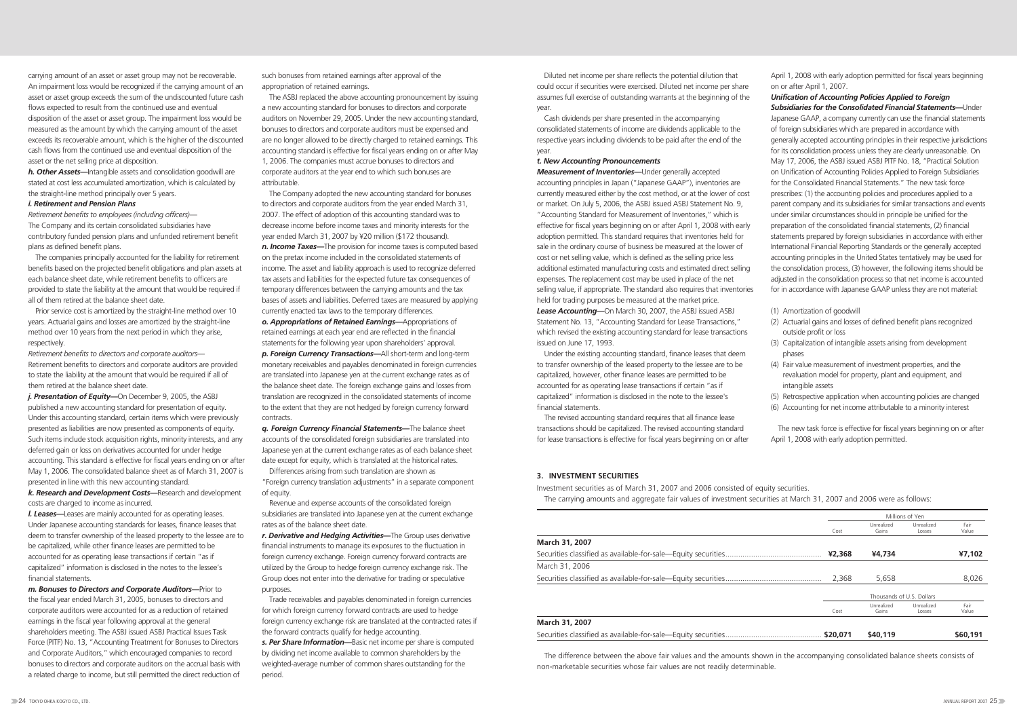carrying amount of an asset or asset group may not be recoverable. An impairment loss would be recognized if the carrying amount of an asset or asset group exceeds the sum of the undiscounted future cash flows expected to result from the continued use and eventual disposition of the asset or asset group. The impairment loss would be measured as the amount by which the carrying amount of the asset exceeds its recoverable amount, which is the higher of the discounted cash flows from the continued use and eventual disposition of the asset or the net selling price at disposition.

*h. Other Assets—*Intangible assets and consolidation goodwill are stated at cost less accumulated amortization, which is calculated by the straight-line method principally over 5 years.

#### *i. Retirement and Pension Plans*

*Retirement benefits to employees (including officers)*— The Company and its certain consolidated subsidiaries have contributory funded pension plans and unfunded retirement benefit plans as defined benefit plans.

The companies principally accounted for the liability for retirement benefits based on the projected benefit obligations and plan assets at each balance sheet date, while retirement benefits to officers are provided to state the liability at the amount that would be required if all of them retired at the balance sheet date.

Prior service cost is amortized by the straight-line method over 10 years. Actuarial gains and losses are amortized by the straight-line method over 10 years from the next period in which they arise, respectively.

*Retirement benefits to directors and corporate auditors*— Retirement benefits to directors and corporate auditors are provided to state the liability at the amount that would be required if all of them retired at the balance sheet date.

*j. Presentation of Equity—*On December 9, 2005, the ASBJ published a new accounting standard for presentation of equity. Under this accounting standard, certain items which were previously presented as liabilities are now presented as components of equity. Such items include stock acquisition rights, minority interests, and any deferred gain or loss on derivatives accounted for under hedge accounting. This standard is effective for fiscal years ending on or after May 1, 2006. The consolidated balance sheet as of March 31, 2007 is presented in line with this new accounting standard.

*k. Research and Development Costs—*Research and development costs are charged to income as incurred.

*l. Leases—*Leases are mainly accounted for as operating leases. Under Japanese accounting standards for leases, finance leases that deem to transfer ownership of the leased property to the lessee are to be capitalized, while other finance leases are permitted to be accounted for as operating lease transactions if certain "as if capitalized" information is disclosed in the notes to the lessee's financial statements.

*m. Bonuses to Directors and Corporate Auditors—*Prior to the fiscal year ended March 31, 2005, bonuses to directors and corporate auditors were accounted for as a reduction of retained earnings in the fiscal year following approval at the general shareholders meeting. The ASBJ issued ASBJ Practical Issues Task Force (PITF) No. 13, "Accounting Treatment for Bonuses to Directors and Corporate Auditors," which encouraged companies to record bonuses to directors and corporate auditors on the accrual basis with a related charge to income, but still permitted the direct reduction of

Diluted net income per share reflects the potential dilution that could occur if securities were exercised. Diluted net income per share assumes full exercise of outstanding warrants at the beginning of the year

such bonuses from retained earnings after approval of the appropriation of retained earnings.

The ASBJ replaced the above accounting pronouncement by issuing a new accounting standard for bonuses to directors and corporate auditors on November 29, 2005. Under the new accounting standard, bonuses to directors and corporate auditors must be expensed and are no longer allowed to be directly charged to retained earnings. This accounting standard is effective for fiscal years ending on or after May 1, 2006. The companies must accrue bonuses to directors and corporate auditors at the year end to which such bonuses are attributable.

The Company adopted the new accounting standard for bonuses to directors and corporate auditors from the year ended March 31, 2007. The effect of adoption of this accounting standard was to decrease income before income taxes and minority interests for the year ended March 31, 2007 by ¥20 million (\$172 thousand). *n. Income Taxes—*The provision for income taxes is computed based on the pretax income included in the consolidated statements of income. The asset and liability approach is used to recognize deferred tax assets and liabilities for the expected future tax consequences of temporary differences between the carrying amounts and the tax bases of assets and liabilities. Deferred taxes are measured by applying currently enacted tax laws to the temporary differences.

*o. Appropriations of Retained Earnings—*Appropriations of retained earnings at each year end are reflected in the financial statements for the following year upon shareholders' approval. *p. Foreign Currency Transactions—*All short-term and long-term monetary receivables and payables denominated in foreign currencies are translated into Japanese yen at the current exchange rates as of the balance sheet date. The foreign exchange gains and losses from translation are recognized in the consolidated statements of income to the extent that they are not hedged by foreign currency forward contracts.

*q. Foreign Currency Financial Statements—*The balance sheet accounts of the consolidated foreign subsidiaries are translated into Japanese yen at the current exchange rates as of each balance sheet date except for equity, which is translated at the historical rates.

Differences arising from such translation are shown as "Foreign currency translation adjustments" in a separate component of equity.

Revenue and expense accounts of the consolidated foreign subsidiaries are translated into Japanese yen at the current exchange rates as of the balance sheet date.

*r. Derivative and Hedging Activities—*The Group uses derivative financial instruments to manage its exposures to the fluctuation in foreign currency exchange. Foreign currency forward contracts are utilized by the Group to hedge foreign currency exchange risk. The Group does not enter into the derivative for trading or speculative purposes.

Trade receivables and payables denominated in foreign currencies for which foreign currency forward contracts are used to hedge foreign currency exchange risk are translated at the contracted rates if the forward contracts qualify for hedge accounting. *s. Per Share Information—*Basic net income per share is computed by dividing net income available to common shareholders by the weighted-average number of common shares outstanding for the period.

Cash dividends per share presented in the accompanying consolidated statements of income are dividends applicable to the respective years including dividends to be paid after the end of the year.

#### *t. New Accounting Pronouncements*

*Measurement of Inventories—*Under generally accepted accounting principles in Japan ("Japanese GAAP"), inventories are currently measured either by the cost method, or at the lower of cost or market. On July 5, 2006, the ASBJ issued ASBJ Statement No. 9, "Accounting Standard for Measurement of Inventories," which is effective for fiscal years beginning on or after April 1, 2008 with early adoption permitted. This standard requires that inventories held for sale in the ordinary course of business be measured at the lower of cost or net selling value, which is defined as the selling price less additional estimated manufacturing costs and estimated direct selling expenses. The replacement cost may be used in place of the net selling value, if appropriate. The standard also requires that inventories held for trading purposes be measured at the market price. *Lease Accounting—*On March 30, 2007, the ASBJ issued ASBJ Statement No. 13, "Accounting Standard for Lease Transactions," which revised the existing accounting standard for lease transactions issued on June 17, 1993.

Under the existing accounting standard, finance leases that deem to transfer ownership of the leased property to the lessee are to be capitalized, however, other finance leases are permitted to be accounted for as operating lease transactions if certain "as if capitalized" information is disclosed in the note to the lessee's financial statements.

The revised accounting standard requires that all finance lease transactions should be capitalized. The revised accounting standard for lease transactions is effective for fiscal years beginning on or after April 1, 2008 with early adoption permitted for fiscal years beginning on or after April 1, 2007.

*Unification of Accounting Policies Applied to Foreign Subsidiaries for the Consolidated Financial Statements—*Under Japanese GAAP, a company currently can use the financial statements of foreign subsidiaries which are prepared in accordance with generally accepted accounting principles in their respective jurisdictions for its consolidation process unless they are clearly unreasonable. On May 17, 2006, the ASBJ issued ASBJ PITF No. 18, "Practical Solution on Unification of Accounting Policies Applied to Foreign Subsidiaries for the Consolidated Financial Statements." The new task force prescribes: (1) the accounting policies and procedures applied to a parent company and its subsidiaries for similar transactions and events under similar circumstances should in principle be unified for the preparation of the consolidated financial statements, (2) financial statements prepared by foreign subsidiaries in accordance with either International Financial Reporting Standards or the generally accepted accounting principles in the United States tentatively may be used for the consolidation process, (3) however, the following items should be adjusted in the consolidation process so that net income is accounted for in accordance with Japanese GAAP unless they are not material:

- (1) Amortization of goodwill
- (2) Actuarial gains and losses of defined benefit plans recognized outside profit or loss
- (3) Capitalization of intangible assets arising from development phases
- (4) Fair value measurement of investment properties, and the revaluation model for property, plant and equipment, and intangible assets
- (5) Retrospective application when accounting policies are changed
- (6) Accounting for net income attributable to a minority interest

The new task force is effective for fiscal years beginning on or after April 1, 2008 with early adoption permitted.

The difference between the above fair values and the amounts shown in the accompanying consolidated balance sheets consists of non-marketable securities whose fair values are not readily determinable.

#### **3. INVESTMENT SECURITIES**

#### **March 31, 2007**

Securities classified as available-for-sale—Equity securities.................... March 31, 2006 Securities classified as available-for-sale—Equity securities...................

|   |          |                           | Millions of Yen      |               |
|---|----------|---------------------------|----------------------|---------------|
|   | Cost     | Unrealized<br>Gains       | Unrealized<br>Losses | Fair<br>Value |
|   |          |                           |                      |               |
|   | ¥2,368   | ¥4,734                    |                      | ¥7,102        |
|   |          |                           |                      |               |
|   | 2,368    | 5,658                     |                      | 8,026         |
|   |          | Thousands of U.S. Dollars |                      |               |
|   | Cost     | Unrealized<br>Gains       | Unrealized<br>Losses | Fair<br>Value |
|   |          |                           |                      |               |
| . | \$20,071 | \$40,119                  |                      | \$60,191      |

#### **March 31, 2007**

Securities classified as available-for-sale—Equity securities...

Investment securities as of March 31, 2007 and 2006 consisted of equity securities. The carrying amounts and aggregate fair values of investment securities at March 31, 2007 and 2006 were as follows: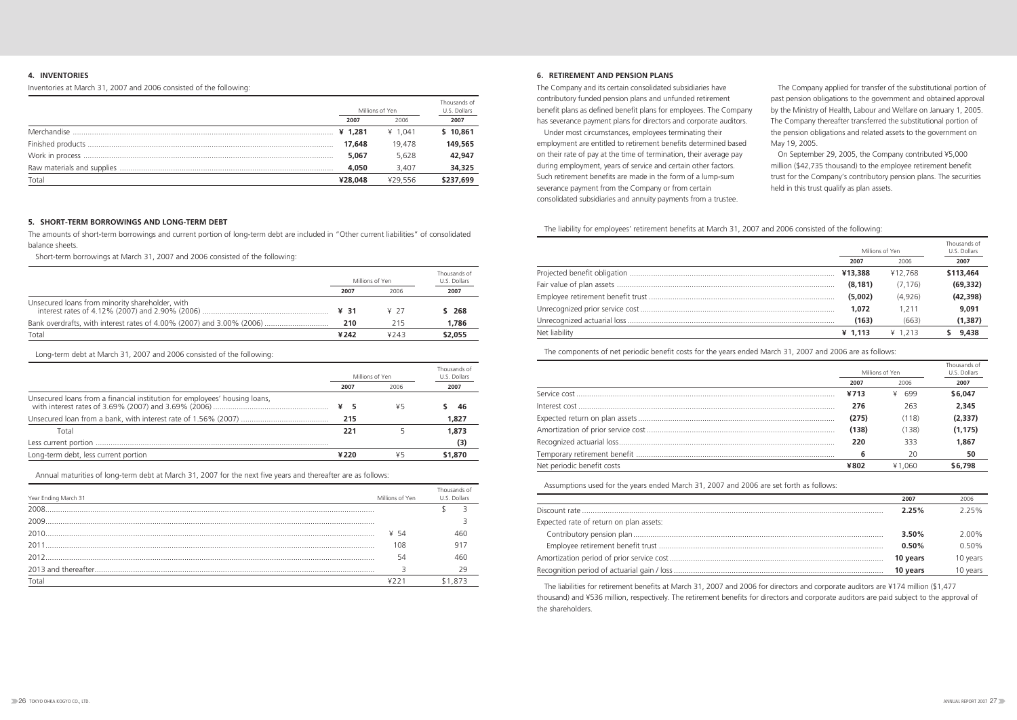#### **5. SHORT-TERM BORROWINGS AND LONG-TERM DEBT**

The amounts of short-term borrowings and current portion of long-term debt are included in "Other current liabilities" of consolidated balance sheets.

Short-term borrowings at March 31, 2007 and 2006 consisted of the following:

|                                                                       |      | Millions of Yen | Thousands of<br>U.S. Dollars |
|-----------------------------------------------------------------------|------|-----------------|------------------------------|
|                                                                       | 2007 | 2006            | 2007                         |
| Unsecured loans from minority shareholder, with                       | ¥ 31 | ¥ 27            | \$ 268                       |
| Bank overdrafts, with interest rates of 4.00% (2007) and 3.00% (2006) | 210  | 215             | 1,786                        |
| Total                                                                 | ¥242 | 4743            | \$2,055                      |

Long-term debt at March 31, 2007 and 2006 consisted of the following:

|                                                                            | Millions of Yen<br>2006<br>2007 |    | Thousands of<br>U.S. Dollars |
|----------------------------------------------------------------------------|---------------------------------|----|------------------------------|
|                                                                            |                                 |    | 2007                         |
| Unsecured loans from a financial institution for employees' housing loans, | ¥<br>- 5                        | ¥5 | 46                           |
|                                                                            | 215                             |    | 1,827                        |
| Total                                                                      | 221                             |    | 1,873                        |
|                                                                            |                                 |    | (3)                          |
| Long-term debt, less current portion                                       | ¥220                            | ¥5 | \$1,870                      |

Annual maturities of long-term debt at March 31, 2007 for the next five years and thereafter are as follows:

| Year Ending March 31 | Millions of Yen | Thousands of<br>U.S. Dollars |
|----------------------|-----------------|------------------------------|
| 2008                 |                 |                              |
| 2009                 |                 |                              |
| 2010                 | ¥ 54            |                              |
| 2011                 | 108             |                              |
| 2012                 | 54              |                              |
|                      |                 |                              |
| Total                |                 |                              |

#### **6. RETIREMENT AND PENSION PLANS**

The Company and its certain consolidated subsidiaries have contributory funded pension plans and unfunded retirement benefit plans as defined benefit plans for employees. The Company has severance payment plans for directors and corporate auditors.

Under most circumstances, employees terminating their employment are entitled to retirement benefits determined based on their rate of pay at the time of termination, their average pay during employment, years of service and certain other factors. Such retirement benefits are made in the form of a lump-sum severance payment from the Company or from certain consolidated subsidiaries and annuity payments from a trustee.

The Company applied for transfer of the substitutional portion of past pension obligations to the government and obtained approval by the Ministry of Health, Labour and Welfare on January 1, 2005. The Company thereafter transferred the substitutional portion of the pension obligations and related assets to the government on May 19, 2005.

On September 29, 2005, the Company contributed ¥5,000 million (\$42,735 thousand) to the employee retirement benefit trust for the Company's contributory pension plans. The securities held in this trust qualify as plan assets.

#### The liability for employees' retirement benefits at March 31, 2007 and 2006 consisted of the following:

### Thousands of Millions of Yen U.S. Dollars **2007** 2006 **2007** Projected benefit obligation ................................................................................................ **¥13,388** ¥12,768 **\$113,464** Fair value of plan assets ...................................................................................................... **(8,181)** (7,176) **(69,332)** Employee retirement benefit trust ....................................................................................... **(5,002)** (4,926) **(42,398)** Unrecognized prior service cost ........................................................................................... **1,072** 1,211 **9,091** Unrecognized actuarial loss ................................................................................................. **(163)** (663) **(1,387)**

|               |           | ¥12.768        | \$113,464 |
|---------------|-----------|----------------|-----------|
|               | (8.181)   | (7.176)        | (69, 332) |
|               | (5,002)   | (4.926)        | (42, 398) |
|               | 1,072     | 1.211          | 9.091     |
|               | (163)     | (663)          | (1, 387)  |
| Net liability | $¥$ 1.113 | $\angle 1.213$ | 9,438     |
|               |           |                |           |

The components of net periodic benefit costs for the years ended March 31, 2007 and 2006 are as follows:

|                            |                 |        | Thousands of |
|----------------------------|-----------------|--------|--------------|
|                            | Millions of Yen |        | U.S. Dollars |
|                            | 2007            | 2006   | 2007         |
|                            | ¥713            | 699    | \$6,047      |
|                            | 276             | 263    | 2,345        |
|                            | (275)           | (118)  | (2, 337)     |
|                            | (138)           | (138)  | (1, 175)     |
|                            | 220             | 333    | 1,867        |
|                            | 6               | 20     | 50           |
| Net periodic benefit costs | A 8U 7          | ¥1.060 | \$6,798      |
|                            |                 |        |              |

The liabilities for retirement benefits at March 31, 2007 and 2006 for directors and corporate auditors are ¥174 million (\$1,477 thousand) and ¥536 million, respectively. The retirement benefits for directors and corporate auditors are paid subject to the approval of the shareholders.

Assumptions used for the years ended March 31, 2007 and 2006 are set forth as follows:

|                                         | 2007     | 2006     |
|-----------------------------------------|----------|----------|
|                                         | 2.25%    | 225%     |
| Expected rate of return on plan assets: |          |          |
|                                         | $3.50\%$ | 2.00%    |
|                                         | 0.50%    | $0.50\%$ |
|                                         | 10 years | 10 years |
|                                         | 10 years | 10 years |

### **4. INVENTORIES**

Inventories at March 31, 2007 and 2006 consisted of the following:

|       |         | Millions of Yen |           |  |
|-------|---------|-----------------|-----------|--|
|       | 2007    | 2006            | 2007      |  |
|       | 41.281  | ¥ 1.041         | \$10,861  |  |
|       | 17,648  | 19.478          | 149,565   |  |
|       | 5,067   | 5,628           | 42,947    |  |
|       | 4,050   | 3.407           | 34,325    |  |
| Total | ¥28.048 | ¥29.556         | \$237,699 |  |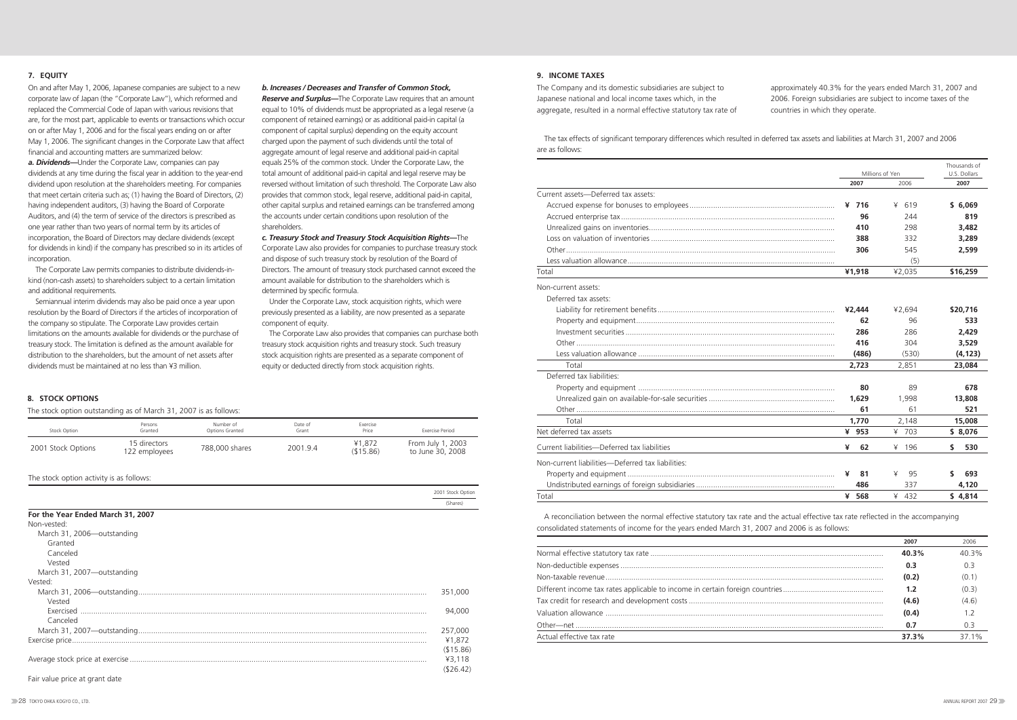The tax effects of significant temporary differences which resulted in deferred tax assets and liabilities at March 31, 2007 and 2006 are as follows:

|                                                   |         |                 | Thousands of |
|---------------------------------------------------|---------|-----------------|--------------|
|                                                   |         | Millions of Yen | U.S. Dollars |
|                                                   | 2007    | 2006            | 2007         |
| Current assets-Deferred tax assets:               |         |                 |              |
|                                                   | $¥$ 716 | 619<br>¥        | \$6,069      |
|                                                   | 96      | 244             | 819          |
|                                                   | 410     | 298             | 3,482        |
|                                                   | 388     | 332             | 3,289        |
|                                                   | 306     | 545             | 2,599        |
|                                                   |         | (5)             |              |
| Total                                             | ¥1,918  | ¥2,035          | \$16,259     |
| Non-current assets:                               |         |                 |              |
| Deferred tax assets:                              |         |                 |              |
|                                                   | ¥2,444  | ¥2,694          | \$20,716     |
|                                                   | 62      | 96              | 533          |
|                                                   | 286     | 286             | 2.429        |
|                                                   | 416     | 304             | 3,529        |
|                                                   | (486)   | (530)           | (4, 123)     |
| Total                                             | 2,723   | 2,851           | 23,084       |
| Deferred tax liabilities:                         |         |                 |              |
|                                                   | 80      | 89              | 678          |
|                                                   | 1,629   | 1.998           | 13,808       |
|                                                   | 61      | 61              | 521          |
| Total                                             | 1.770   | 2,148           | 15,008       |
| Net deferred tax assets                           | ¥ 953   | ¥ 703           | \$8,076      |
| Current liabilities-Deferred tax liabilities      | ¥<br>62 | ¥<br>196        | \$<br>530    |
| Non-current liabilities-Deferred tax liabilities: |         |                 |              |
|                                                   | ¥<br>81 | ¥<br>95         | S<br>693     |
|                                                   | 486     | 337             | 4,120        |
| Total                                             | ¥ 568   | 432             | \$4,814      |

**9. INCOME TAXES**

The Company and its domestic subsidiaries are subject to Japanese national and local income taxes which, in the aggregate, resulted in a normal effective statutory tax rate of approximately 40.3% for the years ended March 31, 2007 and 2006. Foreign subsidiaries are subject to income taxes of the countries in which they operate.

A reconciliation between the normal effective statutory tax rate and the actual effective tax rate reflected in the accompanying consolidated statements of income for the years ended March 31, 2007 and 2006 is as follows:

|                           | 2007  | 2006           |
|---------------------------|-------|----------------|
|                           | 40.3% | 40 3%          |
|                           | 0.3   | 03             |
|                           | (0.2) | (0.1)          |
|                           | 1.2   | (0.3)          |
|                           | (4.6) | (4.6)          |
|                           | (0.4) | 1 <sub>2</sub> |
|                           | 0.7   | 0.3            |
| Actual effective tax rate | 37.3% | 37 1%          |

#### **8. STOCK OPTIONS**

The stock option outstanding as of March 31, 2007 is as follows:

| Stock Option       | Persons<br>Granted            | Number of<br>Options Granted | Date of<br>Grant | Exercise<br>Price   | Exercise Period                       |
|--------------------|-------------------------------|------------------------------|------------------|---------------------|---------------------------------------|
| 2001 Stock Options | 15 directors<br>122 employees | 788,000 shares               | 2001.9.4         | ¥1,872<br>(\$15.86) | From July 1, 2003<br>to June 30, 2008 |

#### The stock option activity is as follows:

2001 Stock Option

|                                   | <b><i>LOUT JIOUR OPLIOIT</i></b> |
|-----------------------------------|----------------------------------|
|                                   | (Shares)                         |
| For the Year Ended March 31, 2007 |                                  |
| Non-vested:                       |                                  |
| March 31, 2006-outstanding        |                                  |
| Granted                           |                                  |
| Canceled                          |                                  |
| Vested                            |                                  |
| March 31, 2007-outstanding        |                                  |
| Vested:                           |                                  |
|                                   | 351,000                          |
| Vested                            |                                  |
|                                   | 94,000                           |
| Canceled                          |                                  |
|                                   | 257,000                          |
|                                   | ¥1,872                           |
|                                   | (\$15.86)                        |
|                                   | ¥3,118                           |
|                                   | ( \$26.42)                       |
| Fair value price at grant date    |                                  |

#### **7. EQUITY**

On and after May 1, 2006, Japanese companies are subject to a new corporate law of Japan (the "Corporate Law"), which reformed and replaced the Commercial Code of Japan with various revisions that are, for the most part, applicable to events or transactions which occur on or after May 1, 2006 and for the fiscal years ending on or after May 1, 2006. The significant changes in the Corporate Law that affect financial and accounting matters are summarized below:

*a. Dividends—*Under the Corporate Law, companies can pay dividends at any time during the fiscal year in addition to the year-end dividend upon resolution at the shareholders meeting. For companies that meet certain criteria such as; (1) having the Board of Directors, (2) having independent auditors, (3) having the Board of Corporate Auditors, and (4) the term of service of the directors is prescribed as one year rather than two years of normal term by its articles of incorporation, the Board of Directors may declare dividends (except for dividends in kind) if the company has prescribed so in its articles of incorporation.

The Corporate Law permits companies to distribute dividends-inkind (non-cash assets) to shareholders subject to a certain limitation and additional requirements.

Semiannual interim dividends may also be paid once a year upon resolution by the Board of Directors if the articles of incorporation of the company so stipulate. The Corporate Law provides certain limitations on the amounts available for dividends or the purchase of treasury stock. The limitation is defined as the amount available for distribution to the shareholders, but the amount of net assets after dividends must be maintained at no less than ¥3 million.

#### *b. Increases / Decreases and Transfer of Common Stock,*

*Reserve and Surplus—*The Corporate Law requires that an amount equal to 10% of dividends must be appropriated as a legal reserve (a component of retained earnings) or as additional paid-in capital (a component of capital surplus) depending on the equity account charged upon the payment of such dividends until the total of aggregate amount of legal reserve and additional paid-in capital equals 25% of the common stock. Under the Corporate Law, the total amount of additional paid-in capital and legal reserve may be reversed without limitation of such threshold. The Corporate Law also provides that common stock, legal reserve, additional paid-in capital, other capital surplus and retained earnings can be transferred among the accounts under certain conditions upon resolution of the shareholders.

*c. Treasury Stock and Treasury Stock Acquisition Rights—*The Corporate Law also provides for companies to purchase treasury stock and dispose of such treasury stock by resolution of the Board of Directors. The amount of treasury stock purchased cannot exceed the amount available for distribution to the shareholders which is determined by specific formula.

Under the Corporate Law, stock acquisition rights, which were previously presented as a liability, are now presented as a separate component of equity.

The Corporate Law also provides that companies can purchase both treasury stock acquisition rights and treasury stock. Such treasury stock acquisition rights are presented as a separate component of equity or deducted directly from stock acquisition rights.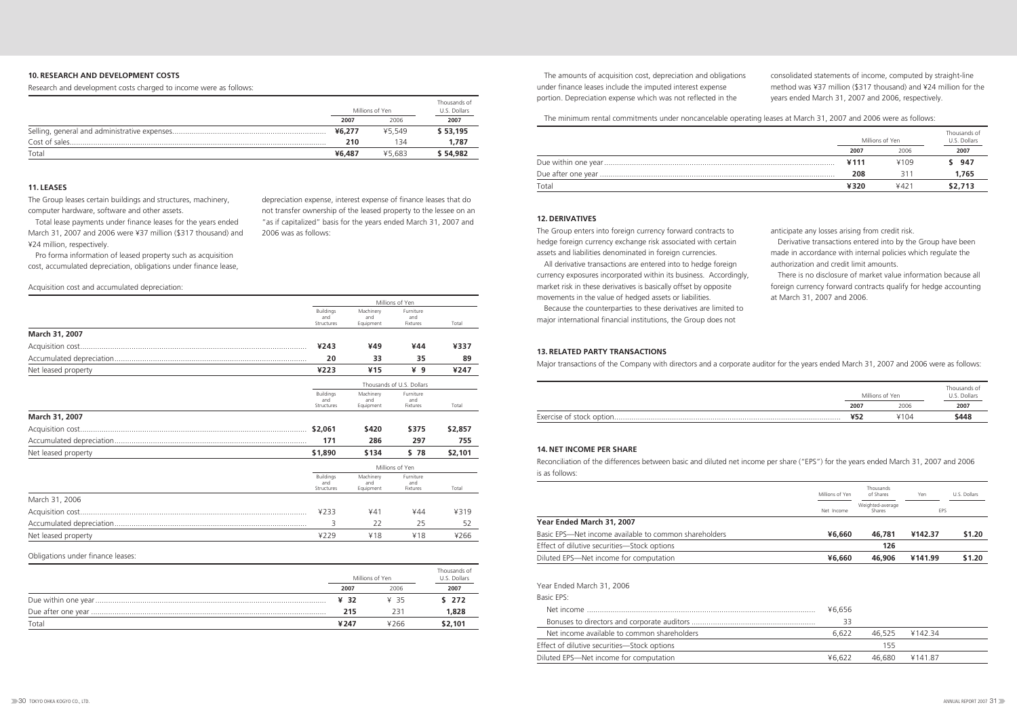### **10. RESEARCH AND DEVELOPMENT COSTS**

Research and development costs charged to income were as follows:

|       |        | Millions of Yen | Thousands of<br>U.S. Dollars |
|-------|--------|-----------------|------------------------------|
|       | 2007   | 2006            | 2007                         |
|       | ¥6,277 | ¥5.549          | \$53,195                     |
|       | 210    | 134             | 1.787                        |
| Total | ¥6,487 | ¥5.683          | \$54,982                     |

The amounts of acquisition cost, depreciation and obligations under finance leases include the imputed interest expense portion. Depreciation expense which was not reflected in the

consolidated statements of income, computed by straight-line method was ¥37 million (\$317 thousand) and ¥24 million for the years ended March 31, 2007 and 2006, respectively.

The minimum rental commitments under noncancelable operating leases at March 31, 2007 and 2006 were as follows:

|            | ¥6,277 | ¥5.549 | \$53,195 |      |      |                 | Thousands of |
|------------|--------|--------|----------|------|------|-----------------|--------------|
|            | 210    |        | 1,787    |      |      | Millions of Yen | U.S. Dollars |
| Total      | 46.487 | ¥5.68. | \$54,982 |      | 2007 |                 |              |
|            |        |        |          |      | ¥111 | ¥109            | - 947        |
|            |        |        |          |      | 208  |                 | 1.765        |
| 11. LEASES |        |        |          | ัด†ล | ¥320 | 4421            | \$2,713      |
|            |        |        |          |      |      |                 |              |

The Group leases certain buildings and structures, machinery, computer hardware, software and other assets.

Total lease payments under finance leases for the years ended March 31, 2007 and 2006 were ¥37 million (\$317 thousand) and ¥24 million, respectively.

Pro forma information of leased property such as acquisition cost, accumulated depreciation, obligations under finance lease, depreciation expense, interest expense of finance leases that do not transfer ownership of the leased property to the lessee on an "as if capitalized" basis for the years ended March 31, 2007 and

2006 was as follows:

|                     | Millions of Yen                       |                               |                              |         |
|---------------------|---------------------------------------|-------------------------------|------------------------------|---------|
|                     | <b>Buildings</b><br>and<br>Structures | Machinery<br>and<br>Equipment | Furniture<br>and<br>Fixtures | Total   |
| March 31, 2007      |                                       |                               |                              |         |
|                     | ¥243                                  | ¥49                           | ¥44                          | ¥337    |
|                     | 20                                    | 33                            | 35                           | 89      |
| Net leased property | ¥223                                  | 415                           | ¥ 9                          | ¥247    |
|                     | Thousands of U.S. Dollars             |                               |                              |         |
|                     | <b>Buildings</b><br>and<br>Structures | Machinery<br>and<br>Equipment | Furniture<br>and<br>Fixtures | Total   |
| March 31, 2007      |                                       |                               |                              |         |
|                     | \$2,061                               | \$420                         | \$375                        | \$2,857 |
|                     | 171                                   | 286                           | 297                          | 755     |
| Net leased property | \$1,890                               | \$134                         | \$78                         | \$2,101 |
|                     | Millions of Yen                       |                               |                              |         |
|                     | <b>Buildings</b><br>and<br>Structures | Machinery<br>and<br>Equipment | Furniture<br>and<br>Fixtures | Total   |
| March 31, 2006      |                                       |                               |                              |         |
|                     | ¥233                                  | 441                           | ¥44                          | ¥319    |
|                     | 3                                     | 22                            | 25                           | 52      |
| Net leased property | ¥229                                  | ¥18                           | ¥18                          | ¥266    |

#### Acquisition cost and accumulated depreciation:

#### **12. DERIVATIVES**

The Group enters into foreign currency forward contracts to hedge foreign currency exchange risk associated with certain assets and liabilities denominated in foreign currencies.

All derivative transactions are entered into to hedge foreign currency exposures incorporated within its business. Accordingly, market risk in these derivatives is basically offset by opposite movements in the value of hedged assets or liabilities.

Because the counterparties to these derivatives are limited to major international financial institutions, the Group does not

anticipate any losses arising from credit risk.

Derivative transactions entered into by the Group have been made in accordance with internal policies which regulate the authorization and credit limit amounts.

There is no disclosure of market value information because all foreign currency forward contracts qualify for hedge accounting at March 31, 2007 and 2006.

#### **13. RELATED PARTY TRANSACTIONS**

Major transactions of the Company with directors and a corporate auditor for the years ended March 31, 2007 and 2006 were as follows:

Exercise of stock option..

|      | Millions of Yen | Thousands of<br>U.S. Dollars |
|------|-----------------|------------------------------|
| 2007 | 2006            | 2007                         |
| ¥52  | ¥104            | \$448                        |

Obligations under finance leases:

|       |      | Millions of Yen | Thousands of<br>U.S. Dollars |
|-------|------|-----------------|------------------------------|
|       | 2007 | 2006            | 2007                         |
|       | 432  | ¥ 35            | \$272                        |
|       | 215  | 231             | 1,828                        |
| Total | 4247 | ¥266            | \$2,101                      |

#### **14. NET INCOME PER SHARE**

Reconciliation of the differences between basic and diluted net income per share ("EPS") for the years ended March 31, 2007 and 2006 is as follows:

|                                                       | Millions of Yen | Thousands<br>of Shares     | Yen        | U.S. Dollars |
|-------------------------------------------------------|-----------------|----------------------------|------------|--------------|
|                                                       | Net Income      | Weighted-average<br>Shares | <b>EPS</b> |              |
| Year Ended March 31, 2007                             |                 |                            |            |              |
| Basic EPS—Net income available to common shareholders | ¥6,660          | 46,781                     | ¥142.37    | \$1.20       |
| Effect of dilutive securities-Stock options           |                 | 126                        |            |              |
| Diluted EPS—Net income for computation                | ¥6,660          | 46,906                     | ¥141.99    | \$1.20       |
| Year Ended March 31, 2006                             |                 |                            |            |              |
| Basic EPS:                                            |                 |                            |            |              |
| Net income                                            | ¥6,656          |                            |            |              |
|                                                       | 33              |                            |            |              |
| Net income available to common shareholders           | 6,622           | 46,525                     | ¥142.34    |              |
| Effect of dilutive securities—Stock options           |                 | 155                        |            |              |
| Diluted EPS-Net income for computation                | ¥6,622          | 46,680                     | ¥141.87    |              |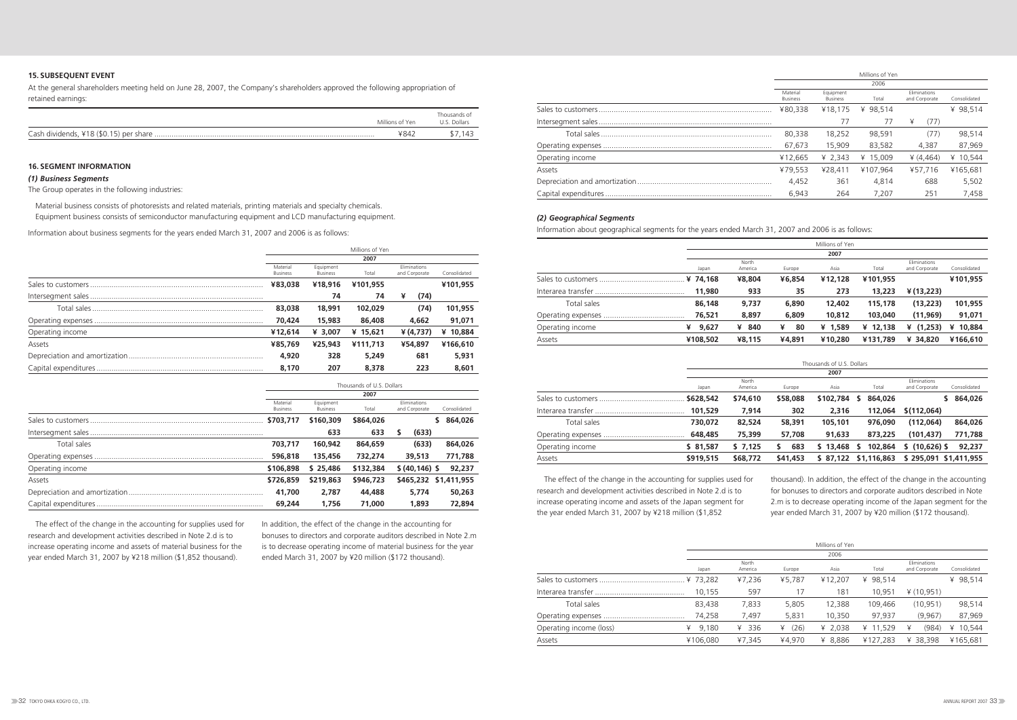### **15. SUBSEQUENT EVENT**

At the general shareholders meeting held on June 28, 2007, the Company's shareholders approved the following appropriation of retained earnings:

#### **16. SEGMENT INFORMATION**

#### *(1) Business Segments*

The Group operates in the following industries:

Material business consists of photoresists and related materials, printing materials and specialty chemicals. Equipment business consists of semiconductor manufacturing equipment and LCD manufacturing equipment.

Information about business segments for the years ended March 31, 2007 and 2006 is as follows:

|                                         | Millions of Yen | Thousands of<br>U.S. Dollars |
|-----------------------------------------|-----------------|------------------------------|
| Cash dividends, ¥18 (\$0.15) per share. | ¥84∠            |                              |

|                  |                             |                              | Millions of Yen |                               |              |
|------------------|-----------------------------|------------------------------|-----------------|-------------------------------|--------------|
|                  |                             |                              | 2007            |                               |              |
|                  | Material<br><b>Business</b> | Equipment<br><b>Business</b> | Total           | Eliminations<br>and Corporate | Consolidated |
|                  | ¥83,038                     | ¥18,916                      | ¥101,955        |                               | ¥101,955     |
|                  |                             | 74                           | 74              | (74)<br>¥                     |              |
|                  | 83,038                      | 18,991                       | 102,029         | (74)                          | 101,955      |
|                  | 70,424                      | 15,983                       | 86,408          | 4,662                         | 91,071       |
| Operating income | ¥12,614                     | ¥ 3.007                      | ¥ $15,621$      | $*(4,737)$                    | ¥ 10,884     |
| Assets           | ¥85,769                     | ¥25,943                      | ¥111,713        | ¥54,897                       | ¥166,610     |
|                  | 4,920                       | 328                          | 5,249           | 681                           | 5,931        |
|                  | 8,170                       | 207                          | 8,378           | 223                           | 8,601        |

|                  | Thousands of U.S. Dollars   |                              |           |                               |                       |  |  |
|------------------|-----------------------------|------------------------------|-----------|-------------------------------|-----------------------|--|--|
|                  | 2007                        |                              |           |                               |                       |  |  |
|                  | Material<br><b>Business</b> | Equipment<br><b>Business</b> | Total     | Eliminations<br>and Corporate | Consolidated          |  |  |
|                  | \$703,717                   | \$160,309                    | \$864,026 |                               | 864,026<br>S.         |  |  |
|                  |                             | 633                          | 633       | (633)<br>S                    |                       |  |  |
| Total sales      | 703.717                     | 160,942                      | 864,659   | (633)                         | 864,026               |  |  |
|                  | 596,818                     | 135,456                      | 732,274   | 39,513                        | 771,788               |  |  |
| Operating income | \$106,898                   | \$25.486                     | \$132,384 | \$ (40, 146) \$               | 92,237                |  |  |
| Assets           | \$726,859                   | \$219,863                    | \$946,723 |                               | \$465,232 \$1,411,955 |  |  |
|                  | 41,700                      | 2,787                        | 44,488    | 5.774                         | 50,263                |  |  |
|                  | 69,244                      | 1.756                        | 71,000    | 1,893                         | 72,894                |  |  |

|                  |                             |                              | Millions of Yen |                               |              |
|------------------|-----------------------------|------------------------------|-----------------|-------------------------------|--------------|
|                  |                             |                              | 2006            |                               |              |
|                  | Material<br><b>Business</b> | Equipment<br><b>Business</b> | Total           | Eliminations<br>and Corporate | Consolidated |
|                  | ¥80.338                     | ¥18.175                      | ¥ 98.514        |                               | ¥ 98.514     |
|                  |                             | 77                           | 77              | (77)<br>¥                     |              |
|                  | 80,338                      | 18.252                       | 98.591          | (77)                          | 98,514       |
|                  | 67.673                      | 15,909                       | 83.582          | 4.387                         | 87,969       |
| Operating income | ¥12.665                     | ¥ 2.343                      | ¥ 15.009        | 4(4.464)                      | ¥ 10,544     |
| Assets           | ¥79.553                     | ¥28.411                      | ¥107.964        | ¥57.716                       | ¥165.681     |
|                  | 4,452                       | 361                          | 4.814           | 688                           | 5,502        |
|                  | 6,943                       | 264                          | 7.207           | 251                           | 7,458        |

#### *(2) Geographical Segments*

Information about geographical segments for the years ended March 31, 2007 and 2006 is as follows:

|                     |            |                  |         | Millions of Yen |            |                               |              |  |
|---------------------|------------|------------------|---------|-----------------|------------|-------------------------------|--------------|--|
|                     | 2007       |                  |         |                 |            |                               |              |  |
|                     | Japan      | North<br>America | Europe  | Asia            | Total      | Eliminations<br>and Corporate | Consolidated |  |
|                     | ¥ 74.168   | ¥8,804           | ¥6,854  | ¥12,128         | ¥101,955   |                               | ¥101.955     |  |
| Interarea transfer. | 11,980     | 933              | 35      | 273             | 13,223     | ¥ (13,223)                    |              |  |
| Total sales         | 86,148     | 9,737            | 6,890   | 12,402          | 115,178    | (13,223)                      | 101,955      |  |
|                     | 76,521     | 8,897            | 6,809   | 10,812          | 103,040    | (11, 969)                     | 91,071       |  |
| Operating income    | ¥<br>9,627 | 840<br>¥         | ¥<br>80 | ¥ $1,589$       | ¥ $12,138$ | (1,253)<br>¥                  | 10,884<br>¥  |  |
| Assets              | ¥108,502   | ¥8,115           | ¥4,891  | ¥10,280         | ¥131,789   | ¥ 34,820                      | ¥166,610     |  |

Thousands of U.S. Dollars

|                     |           |                  |           | 2007      |              |                                               |
|---------------------|-----------|------------------|-----------|-----------|--------------|-----------------------------------------------|
|                     | Japan     | North<br>America | Europe    | Asia      | Total        | Eliminations<br>Consolidated<br>and Corporate |
| Sales to customers. | \$628,542 | \$74,610         | \$58,088  | \$102,784 | 864,026<br>S | 864,026                                       |
| Interarea transfer  | 101,529   | 7.914            | 302       | 2,316     | 112,064      | \$(112,064)                                   |
| Total sales         | 730,072   | 82,524           | 58,391    | 105,101   | 976,090      | (112,064)<br>864,026                          |
| Operating expenses  | 648,485   | 75,399           | 57,708    | 91,633    | 873,225      | (101, 437)<br>771,788                         |
| Operating income    | \$81,587  | \$7,125          | 683<br>S. | \$13,468  | 102,864<br>s | $(10,626)$ \$<br>92,237<br>S.                 |
| Assets              | \$919,515 | \$68,772         | \$41,453  | \$ 87,122 | \$1,116,863  | \$295,091 \$1,411,955                         |

|                         |            |                  |           | Millions of Yen |          |                               |              |
|-------------------------|------------|------------------|-----------|-----------------|----------|-------------------------------|--------------|
|                         |            |                  |           | 2006            |          |                               |              |
|                         | Japan      | North<br>America | Europe    | Asia            | Total    | Eliminations<br>and Corporate | Consolidated |
|                         | ¥ 73.282   | ¥7,236           | ¥5.787    | ¥12.207         | ¥ 98.514 |                               | ¥ 98.514     |
|                         | 10.155     | 597              | 17        | 181             | 10.951   | ¥ (10,951)                    |              |
| Total sales             | 83,438     | 7,833            | 5,805     | 12,388          | 109,466  | (10, 951)                     | 98,514       |
|                         | 74,258     | 7,497            | 5,831     | 10,350          | 97,937   | (9,967)                       | 87,969       |
| Operating income (loss) | 9.180<br>¥ | 336<br>¥         | (26)<br>¥ | ¥ 2,038         | ¥ 11,529 | (984)<br>¥                    | 10,544<br>¥  |
| Assets                  | ¥106,080   | ¥7,345           | ¥4,970    | ¥ 8,886         | ¥127,283 | ¥ 38.398                      | ¥165.681     |

The effect of the change in the accounting for supplies used for research and development activities described in Note 2.d is to increase operating income and assets of material business for the year ended March 31, 2007 by ¥218 million (\$1,852 thousand).

In addition, the effect of the change in the accounting for bonuses to directors and corporate auditors described in Note 2.m is to decrease operating income of material business for the year ended March 31, 2007 by ¥20 million (\$172 thousand).

The effect of the change in the accounting for supplies used for research and development activities described in Note 2.d is to increase operating income and assets of the Japan segment for the year ended March 31, 2007 by ¥218 million (\$1,852

thousand). In addition, the effect of the change in the accounting for bonuses to directors and corporate auditors described in Note 2.m is to decrease operating income of the Japan segment for the year ended March 31, 2007 by ¥20 million (\$172 thousand).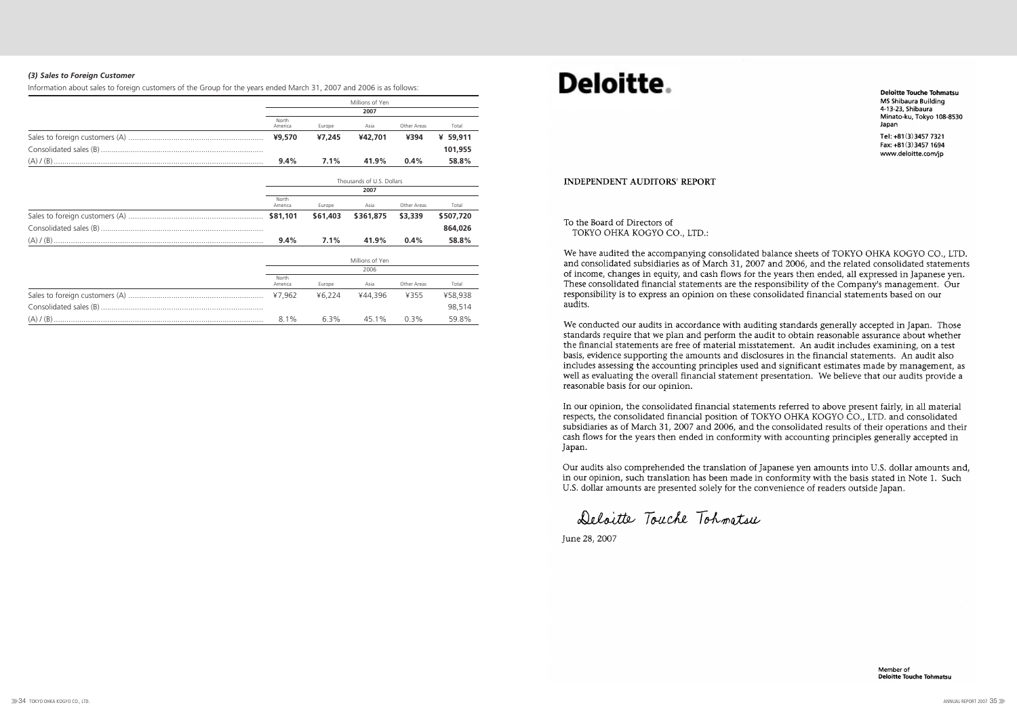#### *(3) Sales to Foreign Customer*

Information about sales to foreign customers of the Group for the years ended March 31, 2007 and 2006 is as follows:

| Millions of Yen  |         |         |             |          |  |  |  |
|------------------|---------|---------|-------------|----------|--|--|--|
| 2007             |         |         |             |          |  |  |  |
| North<br>America | Europe  | Asia    | Other Areas | Total    |  |  |  |
| ¥9,570           | ¥7,245  | ¥42,701 | ¥394        | ¥ 59,911 |  |  |  |
|                  |         |         |             | 101,955  |  |  |  |
| $9.4\%$          | $7.1\%$ | 41.9%   | $0.4\%$     | 58.8%    |  |  |  |

| Thousands of U.S. Dollars |          |                 |             |           |  |  |
|---------------------------|----------|-----------------|-------------|-----------|--|--|
| 2007                      |          |                 |             |           |  |  |
| North<br>America          | Europe   | Asia            | Other Areas | Total     |  |  |
|                           | \$61,403 | \$361,875       | \$3,339     | \$507,720 |  |  |
|                           |          |                 |             | 864,026   |  |  |
| $9.4\%$                   | $7.1\%$  | 41.9%           | $0.4\%$     | 58.8%     |  |  |
|                           |          | Millions of Yen |             |           |  |  |

| 2006             |        |         |             |         |  |  |
|------------------|--------|---------|-------------|---------|--|--|
| North<br>America | Europe | Asia    | Other Areas | Total   |  |  |
| ¥7.962           | ¥6 224 | ¥44.396 | ¥355        | ¥58.938 |  |  |
|                  |        |         |             | 98.514  |  |  |
| $8.1\%$          | 63%    | 45 1%   | $0.3\%$     | 59.8%   |  |  |

# Deloitte.

#### **INDEPENDENT AUDITORS' REPORT**

#### To the Board of Directors of TOKYO OHKA KOGYO CO., LTD.:

We have audited the accompanying consolidated balance sheets of TOKYO OHKA KOGYO CO., LTD. and consolidated subsidiaries as of March 31, 2007 and 2006, and the related consolidated statements of income, changes in equity, and cash flows for the years then ended, all expressed in Japanese yen. These consolidated financial statements are the responsibility of the Company's management. Our responsibility is to express an opinion on these consolidated financial statements based on our audits.

We conducted our audits in accordance with auditing standards generally accepted in Japan. Those standards require that we plan and perform the audit to obtain reasonable assurance about whether the financial statements are free of material misstatement. An audit includes examining, on a test basis, evidence supporting the amounts and disclosures in the financial statements. An audit also includes assessing the accounting principles used and significant estimates made by management, as well as evaluating the overall financial statement presentation. We believe that our audits provide a reasonable basis for our opinion.

In our opinion, the consolidated financial statements referred to above present fairly, in all material respects, the consolidated financial position of TOKYO OHKA KOGYO CO., LTD. and consolidated subsidiaries as of March 31, 2007 and 2006, and the consolidated results of their operations and their cash flows for the years then ended in conformity with accounting principles generally accepted in Japan.

Our audits also comprehended the translation of Japanese yen amounts into U.S. dollar amounts and. in our opinion, such translation has been made in conformity with the basis stated in Note 1. Such U.S. dollar amounts are presented solely for the convenience of readers outside Japan.

Deloitte Touche Tohmatsu

June 28, 2007

**Deloitte Touche Tohmatsu** MS Shibaura Building 4-13-23. Shibaura Minato-ku, Tokyo 108-8530 Japan Tel: +81(3)3457 7321

Fax: +81(3)3457 1694 www.deloitte.com/jp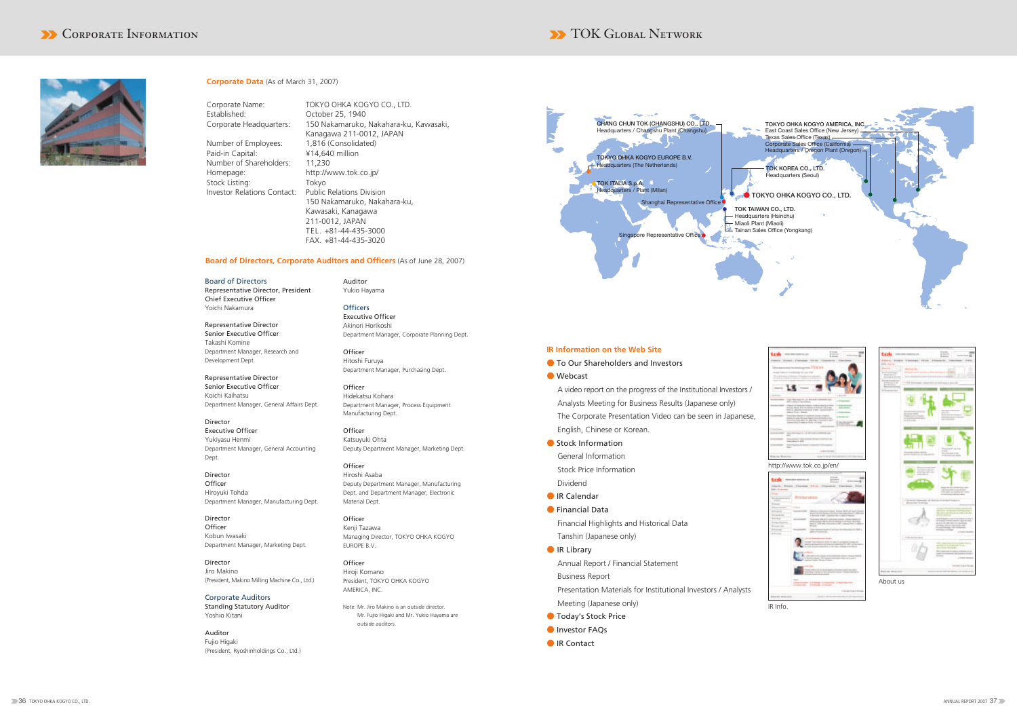

#### **Corporate Data** (As of March 31, 2007)

Corporate Name: TOKYO OHKA KOGYO CO., LTD. Established: October 25, 1940 Corporate Headquarters: 150 Nakamaruko, Nakahara-ku, Kawasaki, Kanagawa 211-0012, JAPAN Number of Employees: Paid-in Capital: ¥14,640 million Number of Shareholders: 11,230 Homepage: http://www.tok.co.jp/ Stock Listing: Tokyo Investor Relations Contact: Public Relations Division 150 Nakamaruko, Nakahara-ku, Kawasaki, Kanagawa 211-0012, JAPAN TEL. +81-44-435-3000 FAX. +81-44-435-3020

#### **Board of Directors, Corporate Auditors and Officers** (As of June 28, 2007)

Board of Directors Representative Director, President Chief Executive Officer Yoichi Nakamura

**Officers** Executive Officer Akinori Horikoshi Department Manager, Corporate Planning Dept.

**Officer** Hitoshi Furuya Department Manager, Purchasing Dept.

Representative Director Senior Executive Officer Takashi Komine Department Manager, Research and Development Dept.

> **Officer** Katsuyuki Ohta Deputy Department Manager, Marketing Dept.

Representative Director Senior Executive Officer Koichi Kaihatsu Department Manager, General Affairs Dept.

> **Officer** Kenji Tazawa Managing Director, TOKYO OHKA KOGYO EUROPE B.V.

Director Executive Officer Yukiyasu Henmi Department Manager, General Accounting Dept.

Director **Officer** Hiroyuki Tohda Department Manager, Manufacturing Dept.

Director **Officer** Kobun Iwasaki Department Manager, Marketing Dept.

Director Jiro Makino (President, Makino Milling Machine Co., Ltd.)

Corporate Auditors Standing Statutory Auditor Yoshio Kitani

Auditor Fujio Higaki (President, Ryoshinholdings Co., Ltd.) Auditor Yukio Hayama

> ● Stock Information General Information Stock Price Information Dividend

● Financial Data Financial Highlights and Historical Data Tanshin (Japanese only)

- IR Library Annual Report / Financial Statement Business Report Presentation Materials for Institutional Investors / Analysts Meeting (Japanese only)
- Today's Stock Price
- **O** Investor FAQs
- IR Contact



Officer Hidekatsu Kohara Department Manager, Process Equipment Manufacturing Dept.

Officer Hiroshi Asaba Deputy Department Manager, Manufacturing Dept. and Department Manager, Electronic Material Dept.

Officer Hiroji Komano President, TOKYO OHKA KOGYO AMERICA, INC.

Note: Mr. Jiro Makino is an outside director. Mr. Fujio Higaki and Mr. Yukio Hayama are outside auditors.



#### **IR Information on the Web Site**

- To Our Shareholders and Investors
- Webcast

A video report on the progress of the Institutional Investors / Analysts Meeting for Business Results (Japanese only) The Corporate Presentation Video can be seen in Japanese, English, Chinese or Korean.

● IR Calendar

IR Info.



http://www.tok.co.jp/en/